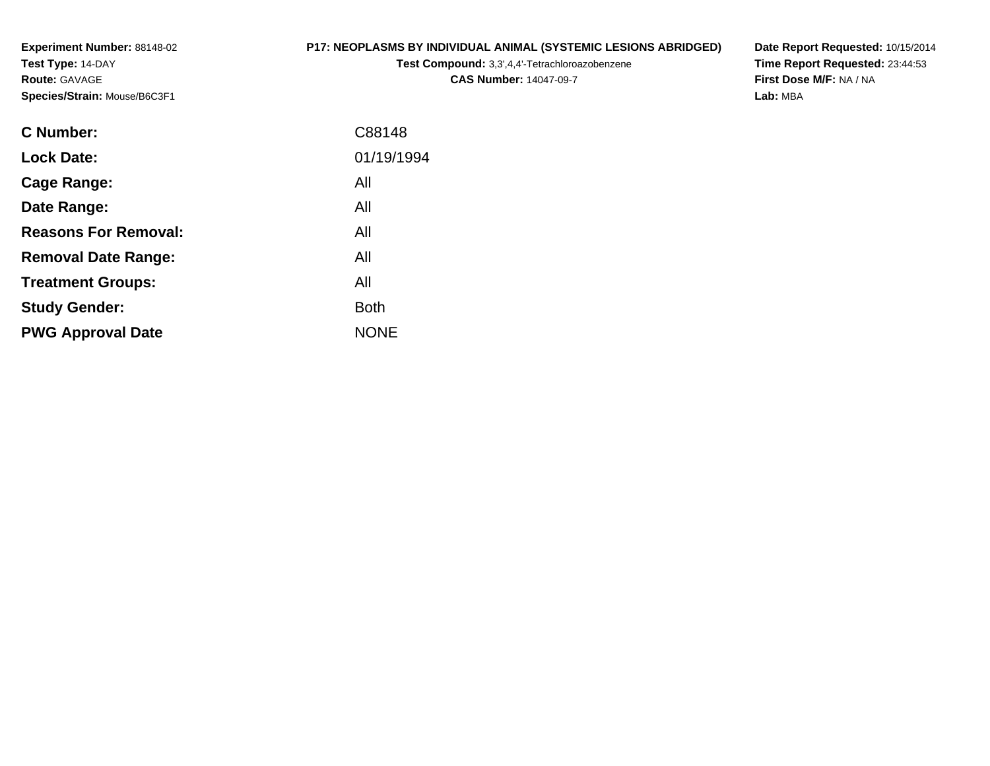**Experiment Number:** 88148-02**Test Type:** 14-DAY**Route:** GAVAGE**Species/Strain:** Mouse/B6C3F1

# **P17: NEOPLASMS BY INDIVIDUAL ANIMAL (SYSTEMIC LESIONS ABRIDGED)**

**Test Compound:** 3,3',4,4'-Tetrachloroazobenzene

**CAS Number:** 14047-09-7

**Date Report Requested:** 10/15/2014 **Time Report Requested:** 23:44:53**First Dose M/F:** NA / NA**Lab:** MBA

| <b>C</b> Number:            | C88148      |
|-----------------------------|-------------|
| <b>Lock Date:</b>           | 01/19/1994  |
| Cage Range:                 | All         |
| Date Range:                 | All         |
| <b>Reasons For Removal:</b> | All         |
| <b>Removal Date Range:</b>  | All         |
| <b>Treatment Groups:</b>    | All         |
| <b>Study Gender:</b>        | <b>Both</b> |
| <b>PWG Approval Date</b>    | <b>NONE</b> |
|                             |             |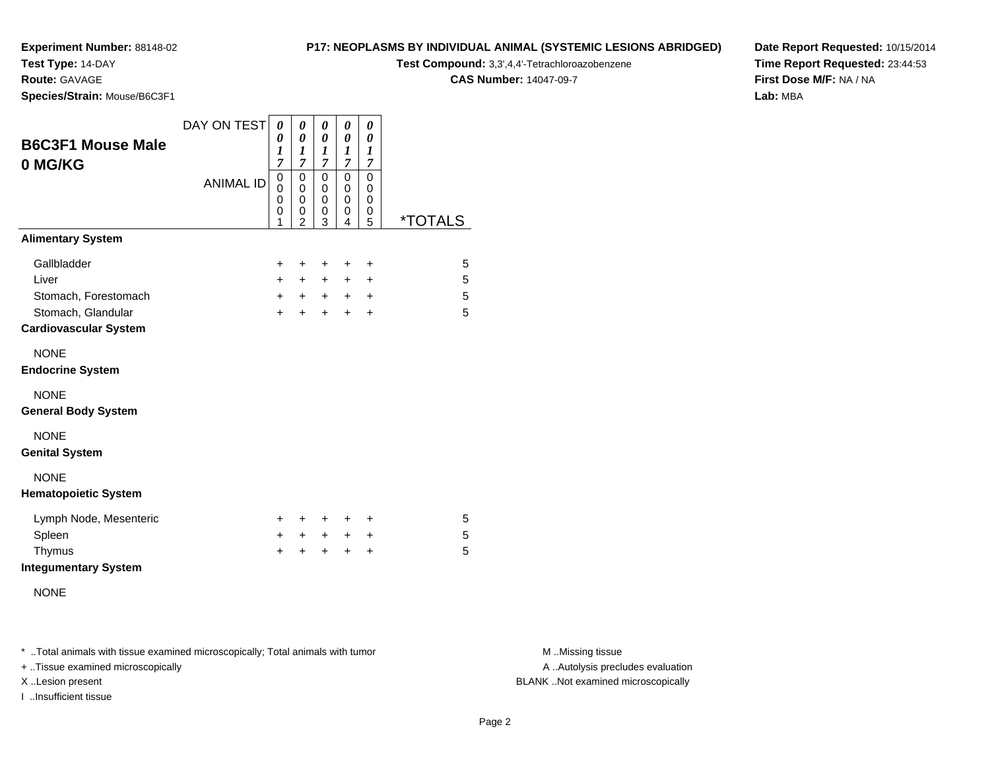# **Test Type:** 14-DAY

**Route:** GAVAGE

**Species/Strain:** Mouse/B6C3F1

# **P17: NEOPLASMS BY INDIVIDUAL ANIMAL (SYSTEMIC LESIONS ABRIDGED)Test Compound:** 3,3',4,4'-Tetrachloroazobenzene

**CAS Number:** 14047-09-7

**Date Report Requested:** 10/15/2014**Time Report Requested:** 23:44:53**First Dose M/F:** NA / NA**Lab:** MBA

| <b>B6C3F1 Mouse Male</b><br>0 MG/KG                | DAY ON TEST      | 0<br>0<br>1<br>$\overline{7}$        | 0<br>0<br>1<br>$\overline{7}$                | 0<br>0<br>1<br>$\overline{7}$             | 0<br>0<br>1<br>$\overline{7}$ | 0<br>$\boldsymbol{\theta}$<br>1<br>$\overline{7}$ |                       |
|----------------------------------------------------|------------------|--------------------------------------|----------------------------------------------|-------------------------------------------|-------------------------------|---------------------------------------------------|-----------------------|
|                                                    | <b>ANIMAL ID</b> | $\boldsymbol{0}$<br>0<br>0<br>0<br>1 | 0<br>$\mathbf 0$<br>0<br>0<br>$\overline{2}$ | $\mathbf 0$<br>$\mathbf 0$<br>0<br>0<br>3 | 0<br>0<br>0<br>0<br>4         | $\mathbf 0$<br>0<br>0<br>0<br>5                   | <i><b>*TOTALS</b></i> |
| <b>Alimentary System</b>                           |                  |                                      |                                              |                                           |                               |                                                   |                       |
| Gallbladder                                        |                  | $\ddot{}$                            | +                                            | +                                         | $\ddot{}$                     | +                                                 | 5                     |
| Liver                                              |                  | $+$                                  | $\ddot{}$                                    | $+$                                       | $\ddot{}$                     | +                                                 | 5                     |
| Stomach, Forestomach                               |                  | $+$                                  | $+$                                          | $+$                                       | $+$                           | $\ddot{}$                                         | $\overline{5}$        |
| Stomach, Glandular<br><b>Cardiovascular System</b> |                  | $+$                                  | $\ddot{}$                                    | $\ddot{}$                                 | $\ddot{}$                     | $\ddot{}$                                         | 5                     |
| <b>NONE</b><br><b>Endocrine System</b>             |                  |                                      |                                              |                                           |                               |                                                   |                       |
| <b>NONE</b><br><b>General Body System</b>          |                  |                                      |                                              |                                           |                               |                                                   |                       |
| <b>NONE</b><br><b>Genital System</b>               |                  |                                      |                                              |                                           |                               |                                                   |                       |
| <b>NONE</b><br><b>Hematopoietic System</b>         |                  |                                      |                                              |                                           |                               |                                                   |                       |
| Lymph Node, Mesenteric                             |                  | $\ddot{}$                            | +                                            | +                                         | +                             | +                                                 | 5                     |
| Spleen                                             |                  | $+$                                  | $+$                                          | $+$                                       | $\ddot{}$                     | +                                                 | 5                     |
| Thymus<br><b>Integumentary System</b>              |                  | $\ddot{}$                            | ÷                                            | $\div$                                    | $\ddot{}$                     | $\ddot{}$                                         | 5                     |
| <b>NONE</b>                                        |                  |                                      |                                              |                                           |                               |                                                   |                       |

\* ..Total animals with tissue examined microscopically; Total animals with tumor **M** . Missing tissue M ..Missing tissue

+ ..Tissue examined microscopically

I ..Insufficient tissue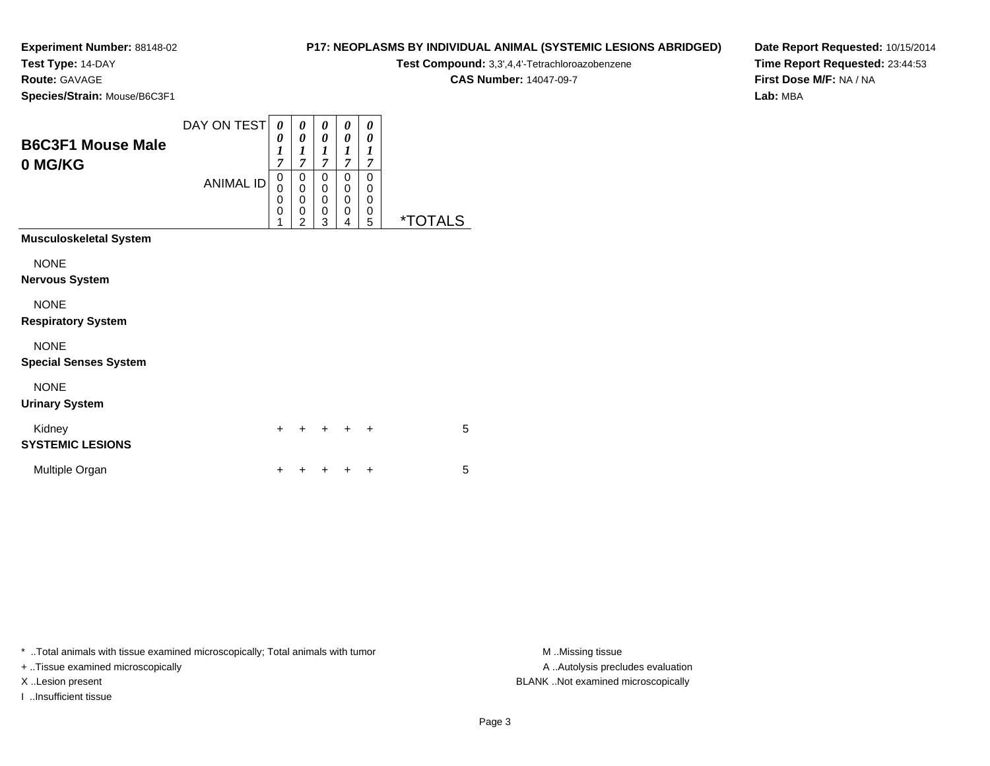**Test Type:** 14-DAY

**Route:** GAVAGE

**Species/Strain:** Mouse/B6C3F1

# **P17: NEOPLASMS BY INDIVIDUAL ANIMAL (SYSTEMIC LESIONS ABRIDGED)**

**Test Compound:** 3,3',4,4'-Tetrachloroazobenzene

**CAS Number:** 14047-09-7

**Date Report Requested:** 10/15/2014**Time Report Requested:** 23:44:53**First Dose M/F:** NA / NA**Lab:** MBA

| <b>B6C3F1 Mouse Male</b><br>0 MG/KG | DAY ON TEST<br><b>ANIMAL ID</b> | 0<br>0<br>$\boldsymbol{l}$<br>$\overline{7}$<br>0<br>ō<br>0<br>0<br>1 | 0<br>0<br>1<br>$\overline{7}$<br>$\boldsymbol{0}$<br>$\pmb{0}$<br>0<br>0<br>$\overline{2}$ | 0<br>0<br>1<br>$\overline{7}$<br>0<br>$\mathbf 0$<br>$\mathbf 0$<br>0<br>3 | 0<br>0<br>1<br>7<br>0<br>0<br>0<br>0<br>4 | 0<br>0<br>$\boldsymbol{l}$<br>7<br>0<br>0<br>0<br>0<br>5 | <i><b>*TOTALS</b></i> |
|-------------------------------------|---------------------------------|-----------------------------------------------------------------------|--------------------------------------------------------------------------------------------|----------------------------------------------------------------------------|-------------------------------------------|----------------------------------------------------------|-----------------------|
| <b>Musculoskeletal System</b>       |                                 |                                                                       |                                                                                            |                                                                            |                                           |                                                          |                       |
| <b>NONE</b>                         |                                 |                                                                       |                                                                                            |                                                                            |                                           |                                                          |                       |
| <b>Nervous System</b>               |                                 |                                                                       |                                                                                            |                                                                            |                                           |                                                          |                       |
| <b>NONE</b>                         |                                 |                                                                       |                                                                                            |                                                                            |                                           |                                                          |                       |
| <b>Respiratory System</b>           |                                 |                                                                       |                                                                                            |                                                                            |                                           |                                                          |                       |
| <b>NONE</b>                         |                                 |                                                                       |                                                                                            |                                                                            |                                           |                                                          |                       |
| <b>Special Senses System</b>        |                                 |                                                                       |                                                                                            |                                                                            |                                           |                                                          |                       |
| <b>NONE</b>                         |                                 |                                                                       |                                                                                            |                                                                            |                                           |                                                          |                       |
| <b>Urinary System</b>               |                                 |                                                                       |                                                                                            |                                                                            |                                           |                                                          |                       |
| Kidney<br><b>SYSTEMIC LESIONS</b>   |                                 | +                                                                     |                                                                                            |                                                                            |                                           | ÷                                                        | 5                     |
| Multiple Organ                      |                                 | ÷                                                                     |                                                                                            |                                                                            |                                           | +                                                        | 5                     |

\* ..Total animals with tissue examined microscopically; Total animals with tumor **M** . Missing tissue M ..Missing tissue

+ ..Tissue examined microscopically

I ..Insufficient tissue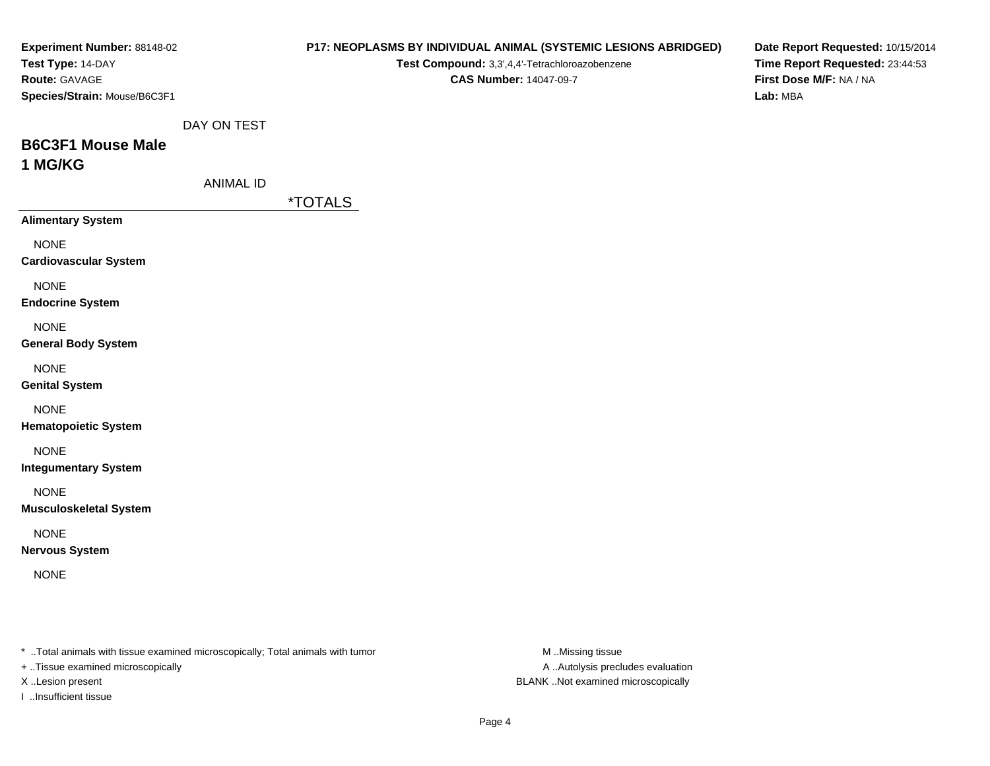| Experiment Number: 88148-02<br>Test Type: 14-DAY<br>Route: GAVAGE<br>Species/Strain: Mouse/B6C3F1                   |                  |                       | Test Compound: 3,3',4,4'-Tetrachloroazobenzene<br><b>CAS Number: 14047-09-7</b> | P17: NEOPLASMS BY INDIVIDUAL ANIMAL (SYSTEMIC LESIONS ABRIDGED) | Date Report Requested: 10/15/2014<br>Time Report Requested: 23:44:53<br>First Dose M/F: NA / NA<br>Lab: MBA |
|---------------------------------------------------------------------------------------------------------------------|------------------|-----------------------|---------------------------------------------------------------------------------|-----------------------------------------------------------------|-------------------------------------------------------------------------------------------------------------|
|                                                                                                                     | DAY ON TEST      |                       |                                                                                 |                                                                 |                                                                                                             |
| <b>B6C3F1 Mouse Male</b><br>1 MG/KG                                                                                 |                  |                       |                                                                                 |                                                                 |                                                                                                             |
|                                                                                                                     | <b>ANIMAL ID</b> |                       |                                                                                 |                                                                 |                                                                                                             |
|                                                                                                                     |                  | <i><b>*TOTALS</b></i> |                                                                                 |                                                                 |                                                                                                             |
| <b>Alimentary System</b>                                                                                            |                  |                       |                                                                                 |                                                                 |                                                                                                             |
| <b>NONE</b><br><b>Cardiovascular System</b>                                                                         |                  |                       |                                                                                 |                                                                 |                                                                                                             |
| <b>NONE</b><br><b>Endocrine System</b>                                                                              |                  |                       |                                                                                 |                                                                 |                                                                                                             |
| <b>NONE</b><br><b>General Body System</b>                                                                           |                  |                       |                                                                                 |                                                                 |                                                                                                             |
| <b>NONE</b><br><b>Genital System</b>                                                                                |                  |                       |                                                                                 |                                                                 |                                                                                                             |
| <b>NONE</b><br><b>Hematopoietic System</b>                                                                          |                  |                       |                                                                                 |                                                                 |                                                                                                             |
| <b>NONE</b><br><b>Integumentary System</b>                                                                          |                  |                       |                                                                                 |                                                                 |                                                                                                             |
| <b>NONE</b><br><b>Musculoskeletal System</b>                                                                        |                  |                       |                                                                                 |                                                                 |                                                                                                             |
| <b>NONE</b><br><b>Nervous System</b>                                                                                |                  |                       |                                                                                 |                                                                 |                                                                                                             |
| <b>NONE</b>                                                                                                         |                  |                       |                                                                                 |                                                                 |                                                                                                             |
| * Total animals with tissue examined microscopically; Total animals with tumor<br>+ Tissue examined microscopically |                  |                       |                                                                                 | M Missing tissue<br>A  Autolysis precludes evaluation           |                                                                                                             |

I ..Insufficient tissue

X ..Lesion present BLANK ..Not examined microscopically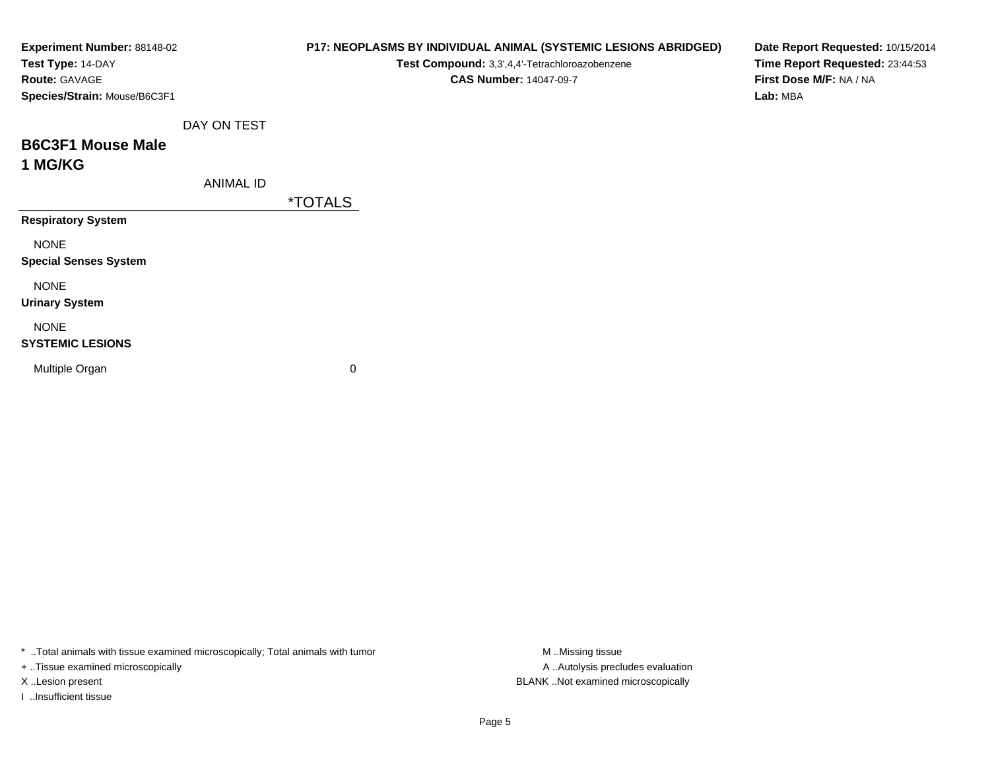| Experiment Number: 88148-02<br>Test Type: 14-DAY<br>Route: GAVAGE<br>Species/Strain: Mouse/B6C3F1 |                  | P17: NEOPLASMS BY INDIVIDUAL ANIMAL (SYSTEMIC LESIONS ABRIDGED)<br>Test Compound: 3,3',4,4'-Tetrachloroazobenzene<br><b>CAS Number: 14047-09-7</b> | Date Report Requested: 10/15/2014<br>Time Report Requested: 23:44:53<br>First Dose M/F: NA / NA<br>Lab: MBA |
|---------------------------------------------------------------------------------------------------|------------------|----------------------------------------------------------------------------------------------------------------------------------------------------|-------------------------------------------------------------------------------------------------------------|
|                                                                                                   | DAY ON TEST      |                                                                                                                                                    |                                                                                                             |
| <b>B6C3F1 Mouse Male</b><br>1 MG/KG                                                               |                  |                                                                                                                                                    |                                                                                                             |
|                                                                                                   | <b>ANIMAL ID</b> | <i><b>*TOTALS</b></i>                                                                                                                              |                                                                                                             |
| <b>Respiratory System</b>                                                                         |                  |                                                                                                                                                    |                                                                                                             |
| <b>NONE</b><br><b>Special Senses System</b>                                                       |                  |                                                                                                                                                    |                                                                                                             |
| <b>NONE</b><br><b>Urinary System</b>                                                              |                  |                                                                                                                                                    |                                                                                                             |
| <b>NONE</b><br><b>SYSTEMIC LESIONS</b>                                                            |                  |                                                                                                                                                    |                                                                                                             |
| Multiple Organ                                                                                    |                  | 0                                                                                                                                                  |                                                                                                             |

\* ..Total animals with tissue examined microscopically; Total animals with tumor M..Missing tissue M ..Missing tissue

+ ..Tissue examined microscopically

I ..Insufficient tissue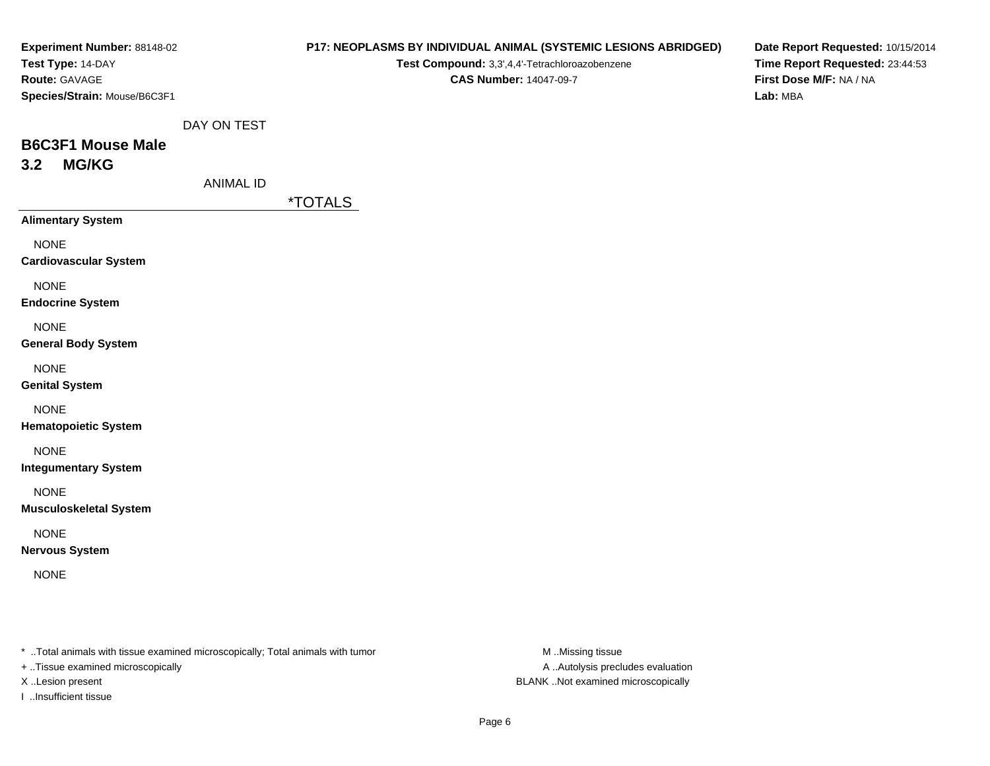| Experiment Number: 88148-02                                                    |                  |                       | P17: NEOPLASMS BY INDIVIDUAL ANIMAL (SYSTEMIC LESIONS ABRIDGED) | Date Report Requested: 10/15/2014 |
|--------------------------------------------------------------------------------|------------------|-----------------------|-----------------------------------------------------------------|-----------------------------------|
| Test Type: 14-DAY                                                              |                  |                       | Test Compound: 3,3',4,4'-Tetrachloroazobenzene                  | Time Report Requested: 23:44:53   |
| Route: GAVAGE                                                                  |                  |                       | <b>CAS Number: 14047-09-7</b>                                   | First Dose M/F: NA / NA           |
| Species/Strain: Mouse/B6C3F1                                                   |                  |                       |                                                                 | Lab: MBA                          |
|                                                                                | DAY ON TEST      |                       |                                                                 |                                   |
| <b>B6C3F1 Mouse Male</b>                                                       |                  |                       |                                                                 |                                   |
| <b>MG/KG</b><br>3.2                                                            |                  |                       |                                                                 |                                   |
|                                                                                | <b>ANIMAL ID</b> |                       |                                                                 |                                   |
|                                                                                |                  | <i><b>*TOTALS</b></i> |                                                                 |                                   |
| <b>Alimentary System</b>                                                       |                  |                       |                                                                 |                                   |
| <b>NONE</b>                                                                    |                  |                       |                                                                 |                                   |
| <b>Cardiovascular System</b>                                                   |                  |                       |                                                                 |                                   |
| <b>NONE</b>                                                                    |                  |                       |                                                                 |                                   |
| <b>Endocrine System</b>                                                        |                  |                       |                                                                 |                                   |
|                                                                                |                  |                       |                                                                 |                                   |
| <b>NONE</b><br><b>General Body System</b>                                      |                  |                       |                                                                 |                                   |
|                                                                                |                  |                       |                                                                 |                                   |
| <b>NONE</b>                                                                    |                  |                       |                                                                 |                                   |
| <b>Genital System</b>                                                          |                  |                       |                                                                 |                                   |
| <b>NONE</b>                                                                    |                  |                       |                                                                 |                                   |
| <b>Hematopoietic System</b>                                                    |                  |                       |                                                                 |                                   |
| <b>NONE</b>                                                                    |                  |                       |                                                                 |                                   |
| <b>Integumentary System</b>                                                    |                  |                       |                                                                 |                                   |
| <b>NONE</b>                                                                    |                  |                       |                                                                 |                                   |
| <b>Musculoskeletal System</b>                                                  |                  |                       |                                                                 |                                   |
| <b>NONE</b>                                                                    |                  |                       |                                                                 |                                   |
| <b>Nervous System</b>                                                          |                  |                       |                                                                 |                                   |
| <b>NONE</b>                                                                    |                  |                       |                                                                 |                                   |
|                                                                                |                  |                       |                                                                 |                                   |
|                                                                                |                  |                       |                                                                 |                                   |
|                                                                                |                  |                       |                                                                 |                                   |
| * Total animals with tissue examined microscopically; Total animals with tumor |                  |                       | M Missing tissue                                                |                                   |

+ ..Tissue examined microscopically

I ..Insufficient tissue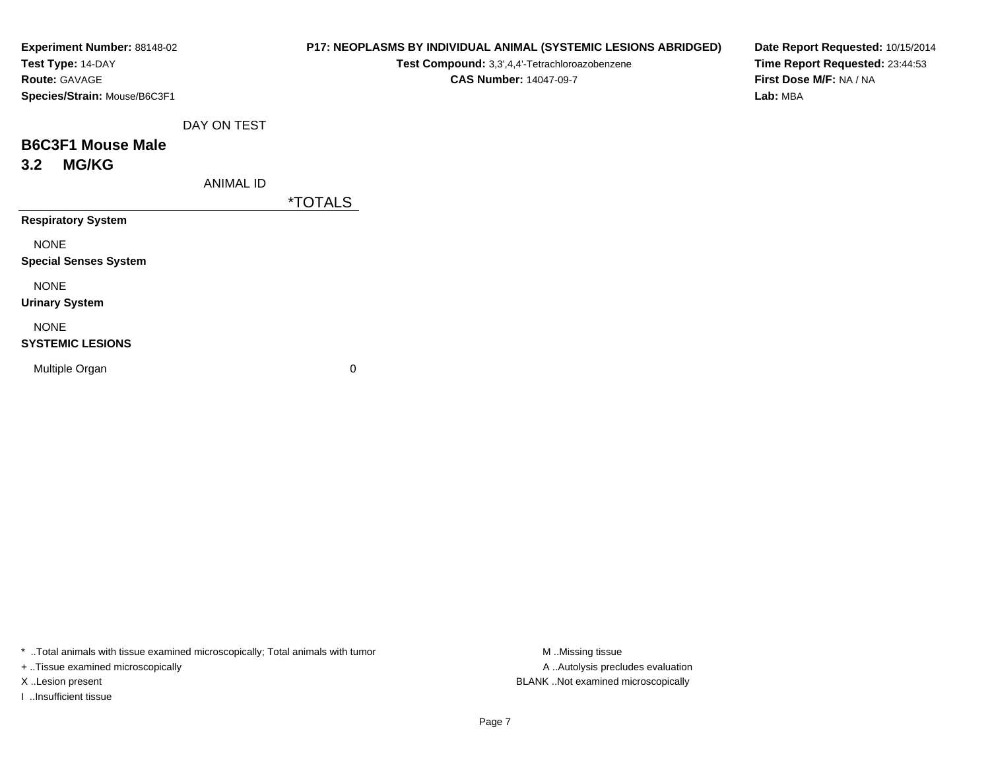| Experiment Number: 88148-02  |                  | P17: NEOPLASMS BY INDIVIDUAL ANIMAL (SYSTEMIC LESIONS ABRIDGED) | Date Report Requested: 10/15/2014 |
|------------------------------|------------------|-----------------------------------------------------------------|-----------------------------------|
| Test Type: 14-DAY            |                  | Test Compound: 3,3',4,4'-Tetrachloroazobenzene                  | Time Report Requested: 23:44:53   |
| Route: GAVAGE                |                  | <b>CAS Number: 14047-09-7</b>                                   | First Dose M/F: NA / NA           |
| Species/Strain: Mouse/B6C3F1 |                  |                                                                 | Lab: MBA                          |
|                              | DAY ON TEST      |                                                                 |                                   |
| <b>B6C3F1 Mouse Male</b>     |                  |                                                                 |                                   |
| <b>MG/KG</b><br>3.2          |                  |                                                                 |                                   |
|                              | <b>ANIMAL ID</b> |                                                                 |                                   |
|                              |                  | <i><b>*TOTALS</b></i>                                           |                                   |
| <b>Respiratory System</b>    |                  |                                                                 |                                   |
| <b>NONE</b>                  |                  |                                                                 |                                   |
| <b>Special Senses System</b> |                  |                                                                 |                                   |
| <b>NONE</b>                  |                  |                                                                 |                                   |
| <b>Urinary System</b>        |                  |                                                                 |                                   |
| <b>NONE</b>                  |                  |                                                                 |                                   |
| <b>SYSTEMIC LESIONS</b>      |                  |                                                                 |                                   |
| Multiple Organ               |                  | 0                                                               |                                   |
|                              |                  |                                                                 |                                   |
|                              |                  |                                                                 |                                   |

\* ..Total animals with tissue examined microscopically; Total animals with tumor M..Missing tissue M ..Missing tissue

+ ..Tissue examined microscopically

I ..Insufficient tissue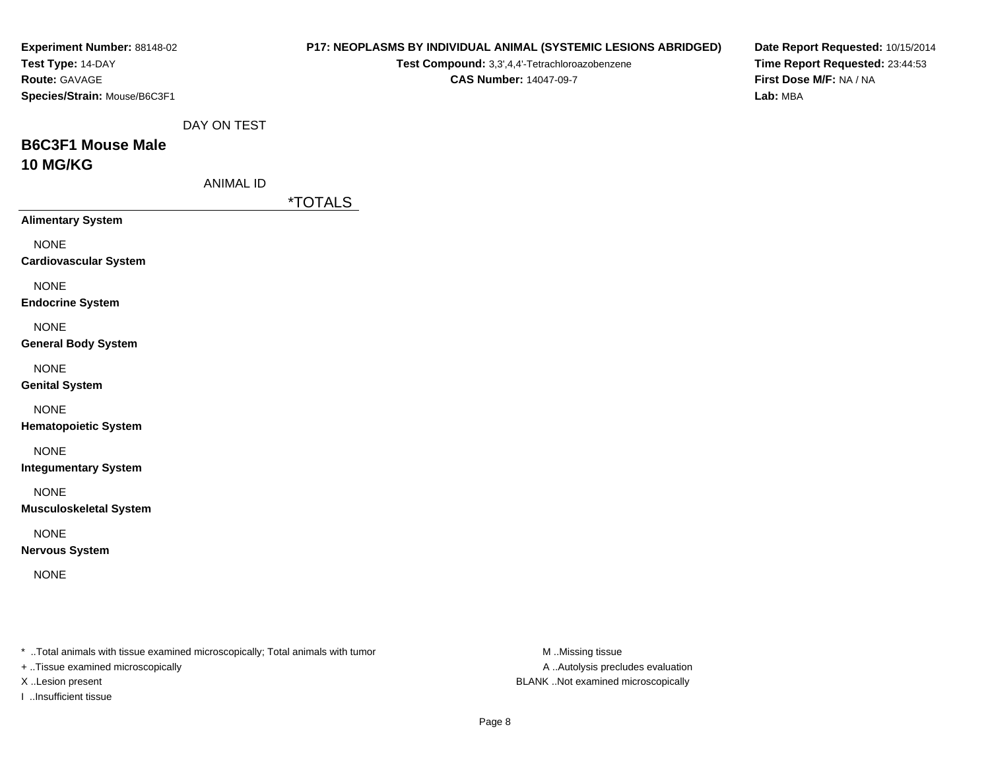| Experiment Number: 88148-02<br>Test Type: 14-DAY                                                                     |                  |                       | Test Compound: 3,3',4,4'-Tetrachloroazobenzene | P17: NEOPLASMS BY INDIVIDUAL ANIMAL (SYSTEMIC LESIONS ABRIDGED) | Date Report Requested: 10/15/2014<br>Time Report Requested: 23:44:53 |
|----------------------------------------------------------------------------------------------------------------------|------------------|-----------------------|------------------------------------------------|-----------------------------------------------------------------|----------------------------------------------------------------------|
| Route: GAVAGE<br>Species/Strain: Mouse/B6C3F1                                                                        |                  |                       | <b>CAS Number: 14047-09-7</b>                  |                                                                 | First Dose M/F: NA / NA<br>Lab: MBA                                  |
|                                                                                                                      | DAY ON TEST      |                       |                                                |                                                                 |                                                                      |
| <b>B6C3F1 Mouse Male</b>                                                                                             |                  |                       |                                                |                                                                 |                                                                      |
| 10 MG/KG                                                                                                             |                  |                       |                                                |                                                                 |                                                                      |
|                                                                                                                      | <b>ANIMAL ID</b> |                       |                                                |                                                                 |                                                                      |
| <b>Alimentary System</b>                                                                                             |                  | <i><b>*TOTALS</b></i> |                                                |                                                                 |                                                                      |
| <b>NONE</b><br><b>Cardiovascular System</b>                                                                          |                  |                       |                                                |                                                                 |                                                                      |
| <b>NONE</b><br><b>Endocrine System</b>                                                                               |                  |                       |                                                |                                                                 |                                                                      |
| <b>NONE</b><br><b>General Body System</b>                                                                            |                  |                       |                                                |                                                                 |                                                                      |
| <b>NONE</b><br><b>Genital System</b>                                                                                 |                  |                       |                                                |                                                                 |                                                                      |
| <b>NONE</b><br><b>Hematopoietic System</b>                                                                           |                  |                       |                                                |                                                                 |                                                                      |
| <b>NONE</b><br><b>Integumentary System</b>                                                                           |                  |                       |                                                |                                                                 |                                                                      |
| <b>NONE</b><br><b>Musculoskeletal System</b>                                                                         |                  |                       |                                                |                                                                 |                                                                      |
| <b>NONE</b><br><b>Nervous System</b>                                                                                 |                  |                       |                                                |                                                                 |                                                                      |
| <b>NONE</b>                                                                                                          |                  |                       |                                                |                                                                 |                                                                      |
| *  Total animals with tissue examined microscopically; Total animals with tumor<br>+ Tissue examined microscopically |                  |                       |                                                | M Missing tissue<br>A  Autolysis precludes evaluation           |                                                                      |

I ..Insufficient tissue

X ..Lesion present BLANK ..Not examined microscopically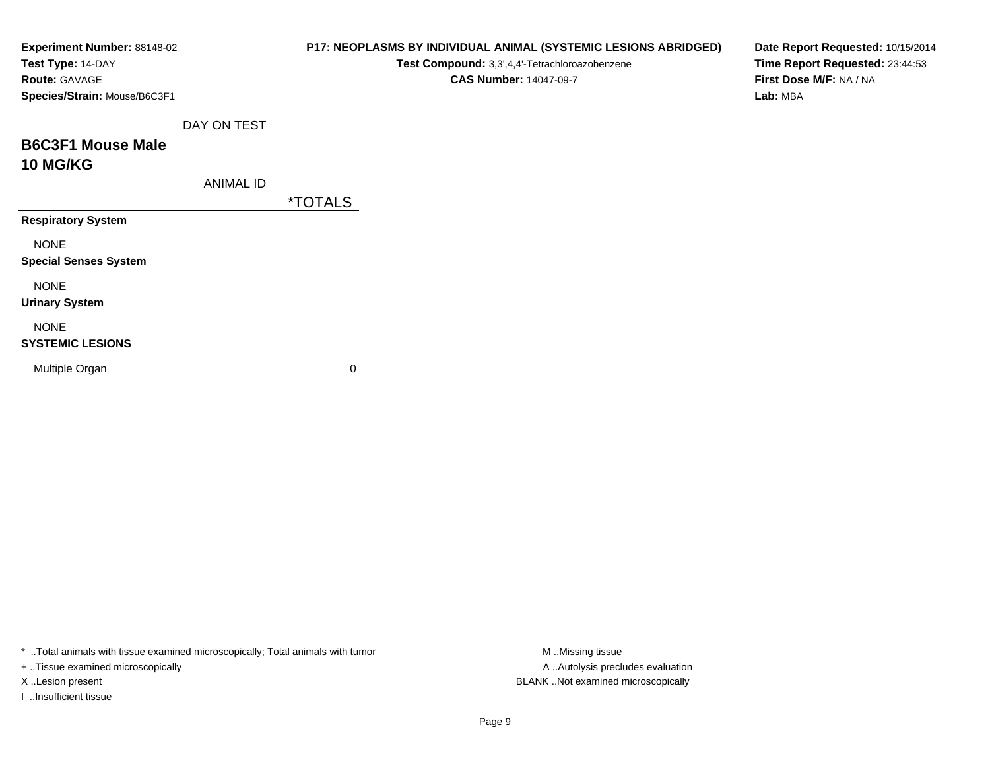| Experiment Number: 88148-02<br>Test Type: 14-DAY<br>Route: GAVAGE<br>Species/Strain: Mouse/B6C3F1 |                  | P17: NEOPLASMS BY INDIVIDUAL ANIMAL (SYSTEMIC LESIONS ABRIDGED)<br>Test Compound: 3,3',4,4'-Tetrachloroazobenzene<br><b>CAS Number: 14047-09-7</b> | Date Report Requested: 10/15/2014<br>Time Report Requested: 23:44:53<br>First Dose M/F: NA / NA<br>Lab: MBA |
|---------------------------------------------------------------------------------------------------|------------------|----------------------------------------------------------------------------------------------------------------------------------------------------|-------------------------------------------------------------------------------------------------------------|
|                                                                                                   | DAY ON TEST      |                                                                                                                                                    |                                                                                                             |
| <b>B6C3F1 Mouse Male</b><br><b>10 MG/KG</b>                                                       |                  |                                                                                                                                                    |                                                                                                             |
|                                                                                                   | <b>ANIMAL ID</b> |                                                                                                                                                    |                                                                                                             |
|                                                                                                   |                  | <i><b>*TOTALS</b></i>                                                                                                                              |                                                                                                             |
| <b>Respiratory System</b>                                                                         |                  |                                                                                                                                                    |                                                                                                             |
| <b>NONE</b><br><b>Special Senses System</b>                                                       |                  |                                                                                                                                                    |                                                                                                             |
| <b>NONE</b><br><b>Urinary System</b>                                                              |                  |                                                                                                                                                    |                                                                                                             |
| <b>NONE</b><br><b>SYSTEMIC LESIONS</b>                                                            |                  |                                                                                                                                                    |                                                                                                             |
| Multiple Organ                                                                                    |                  | 0                                                                                                                                                  |                                                                                                             |

\* ..Total animals with tissue examined microscopically; Total animals with tumor M..Missing tissue M

+ ..Tissue examined microscopically

I ..Insufficient tissue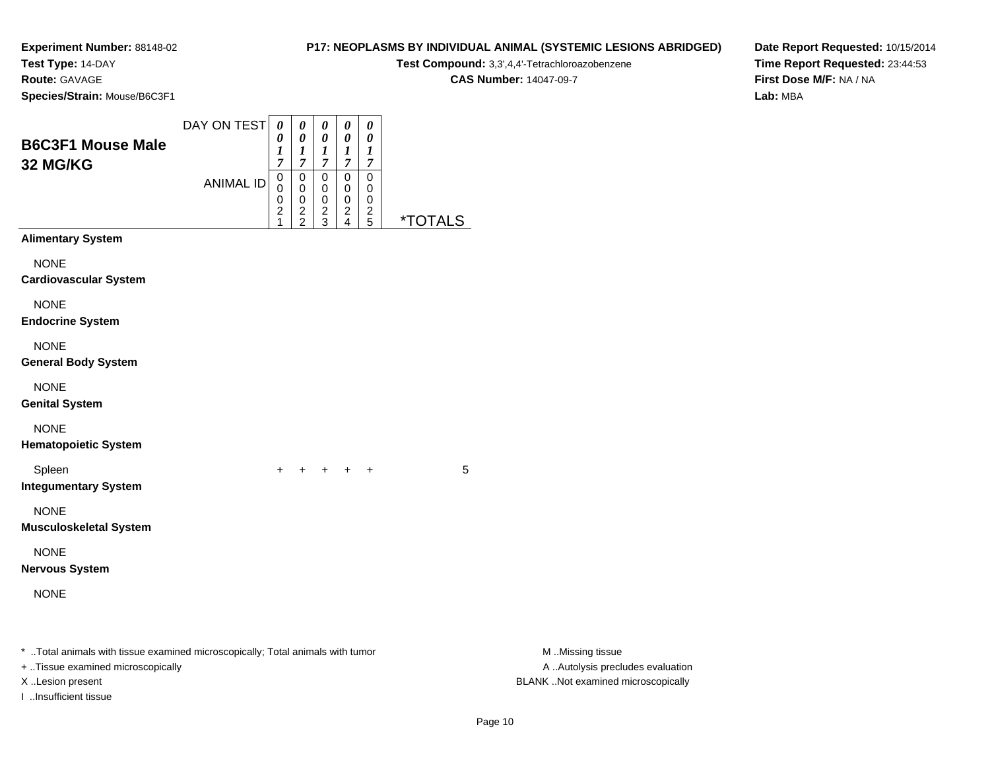**Test Type:** 14-DAY

**Route:** GAVAGE

**Species/Strain:** Mouse/B6C3F1

| <b>P17: NEOPLASMS BY INDIVIDUAL ANIMAL (SYSTEMIC LESIONS ABRIDGED)</b> |
|------------------------------------------------------------------------|
| Test Compound: 3,3',4,4'-Tetrachloroazobenzene                         |
| <b>CAS Number: 14047-09-7</b>                                          |

**Date Report Requested:** 10/15/2014**Time Report Requested:** 23:44:53**First Dose M/F:** NA / NA**Lab:** MBA

| <b>B6C3F1 Mouse Male</b><br>32 MG/KG                                                                                 | DAY ON TEST      | $\pmb{\theta}$<br>0<br>1<br>$\overline{7}$                | $\pmb{\theta}$<br>$\pmb{\theta}$<br>$\boldsymbol{l}$<br>$\overline{7}$ | $\pmb{\theta}$<br>$\pmb{\theta}$<br>1<br>$\boldsymbol{7}$ | $\pmb{\theta}$<br>$\pmb{\theta}$<br>$\boldsymbol{l}$<br>$\boldsymbol{7}$ | $\pmb{\theta}$<br>0<br>$\boldsymbol{l}$<br>$\overline{7}$ |                       |                                                       |
|----------------------------------------------------------------------------------------------------------------------|------------------|-----------------------------------------------------------|------------------------------------------------------------------------|-----------------------------------------------------------|--------------------------------------------------------------------------|-----------------------------------------------------------|-----------------------|-------------------------------------------------------|
|                                                                                                                      | <b>ANIMAL ID</b> | $\,0\,$<br>$\pmb{0}$<br>0<br>$\overline{\mathbf{c}}$<br>1 | $\pmb{0}$<br>$\pmb{0}$<br>$\,0\,$<br>$\frac{2}{2}$                     | $\mathsf 0$<br>$\mathbf 0$<br>$\,0\,$<br>$\frac{2}{3}$    | $\pmb{0}$<br>$\mathbf 0$<br>$\mathbf 0$<br>$\frac{2}{4}$                 | $\pmb{0}$<br>0<br>0<br>$\frac{2}{5}$                      | <i><b>*TOTALS</b></i> |                                                       |
| <b>Alimentary System</b>                                                                                             |                  |                                                           |                                                                        |                                                           |                                                                          |                                                           |                       |                                                       |
| <b>NONE</b><br><b>Cardiovascular System</b>                                                                          |                  |                                                           |                                                                        |                                                           |                                                                          |                                                           |                       |                                                       |
| <b>NONE</b><br><b>Endocrine System</b>                                                                               |                  |                                                           |                                                                        |                                                           |                                                                          |                                                           |                       |                                                       |
| <b>NONE</b><br><b>General Body System</b>                                                                            |                  |                                                           |                                                                        |                                                           |                                                                          |                                                           |                       |                                                       |
| <b>NONE</b><br><b>Genital System</b>                                                                                 |                  |                                                           |                                                                        |                                                           |                                                                          |                                                           |                       |                                                       |
| <b>NONE</b><br><b>Hematopoietic System</b>                                                                           |                  |                                                           |                                                                        |                                                           |                                                                          |                                                           |                       |                                                       |
| Spleen<br><b>Integumentary System</b>                                                                                |                  |                                                           |                                                                        |                                                           | $+$ $+$ $+$                                                              |                                                           | 5                     |                                                       |
| <b>NONE</b><br><b>Musculoskeletal System</b>                                                                         |                  |                                                           |                                                                        |                                                           |                                                                          |                                                           |                       |                                                       |
| <b>NONE</b><br><b>Nervous System</b>                                                                                 |                  |                                                           |                                                                        |                                                           |                                                                          |                                                           |                       |                                                       |
| <b>NONE</b>                                                                                                          |                  |                                                           |                                                                        |                                                           |                                                                          |                                                           |                       |                                                       |
| *  Total animals with tissue examined microscopically; Total animals with tumor<br>+ Tissue examined microscopically |                  |                                                           |                                                                        |                                                           |                                                                          |                                                           |                       | M Missing tissue<br>A  Autolysis precludes evaluation |
| X Lesion present<br>I Insufficient tissue                                                                            |                  |                                                           |                                                                        |                                                           |                                                                          |                                                           |                       | BLANK Not examined microscopically                    |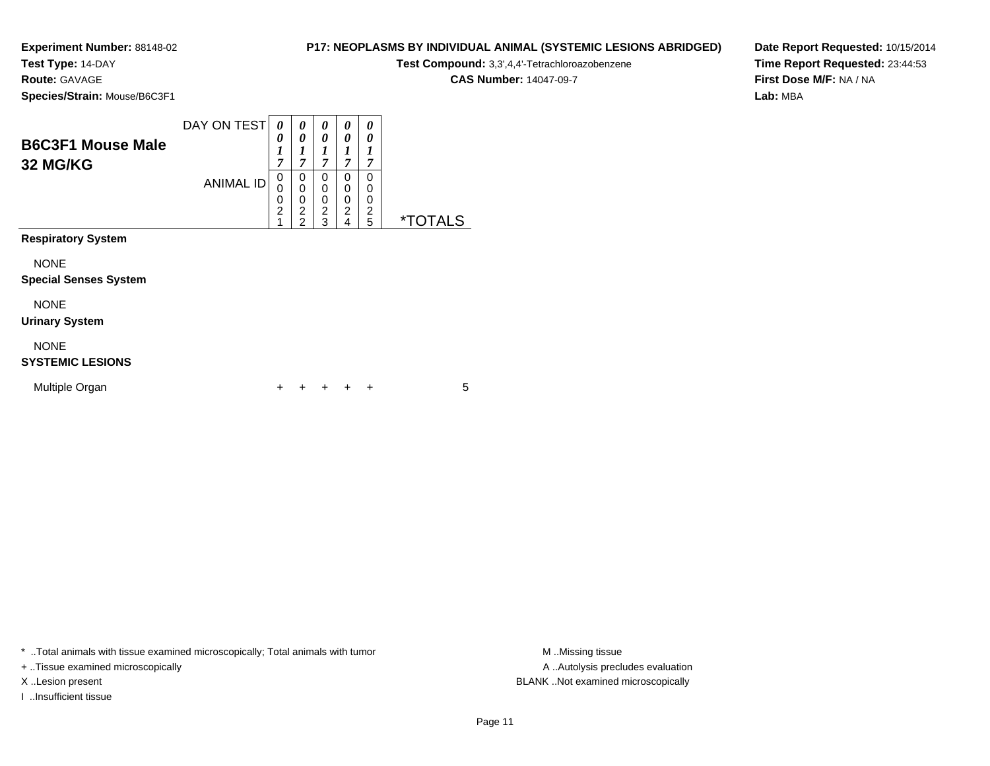**Test Type:** 14-DAY

**Route:** GAVAGE

**Species/Strain:** Mouse/B6C3F1

| <b>P17: NEOPLASMS BY INDIVIDUAL ANIMAL (SYSTEMIC LESIONS ABRIDGED)</b> |
|------------------------------------------------------------------------|
| $T = 100$ and $T = 100$ and $T = 100$                                  |

**Test Compound:** 3,3',4,4'-Tetrachloroazobenzene

**CAS Number:** 14047-09-7

**Date Report Requested:** 10/15/2014**Time Report Requested:** 23:44:53**First Dose M/F:** NA / NA**Lab:** MBA

| <b>B6C3F1 Mouse Male</b><br>32 MG/KG        | DAY ON TEST      | 0<br>0<br>1<br>7                   | 0<br>0<br>1<br>$\overline{7}$                             | 0<br>0<br>7                                            | 0<br>$\boldsymbol{\theta}$<br>1<br>7            | 0<br>0<br>1<br>7                   |                       |
|---------------------------------------------|------------------|------------------------------------|-----------------------------------------------------------|--------------------------------------------------------|-------------------------------------------------|------------------------------------|-----------------------|
|                                             | <b>ANIMAL ID</b> | 0<br>0<br>0<br>$\overline{c}$<br>1 | 0<br>$\mathbf 0$<br>0<br>$\overline{c}$<br>$\overline{2}$ | $\mathbf 0$<br>0<br>$\mathbf 0$<br>$\overline{c}$<br>3 | 0<br>0<br>0<br>$\overline{c}$<br>$\overline{4}$ | 0<br>0<br>0<br>$\overline{c}$<br>5 | <i><b>*TOTALS</b></i> |
| <b>Respiratory System</b>                   |                  |                                    |                                                           |                                                        |                                                 |                                    |                       |
| <b>NONE</b><br><b>Special Senses System</b> |                  |                                    |                                                           |                                                        |                                                 |                                    |                       |
| <b>NONE</b><br><b>Urinary System</b>        |                  |                                    |                                                           |                                                        |                                                 |                                    |                       |
| <b>NONE</b><br><b>SYSTEMIC LESIONS</b>      |                  |                                    |                                                           |                                                        |                                                 |                                    |                       |
| Multiple Organ                              |                  | +                                  |                                                           |                                                        |                                                 | $\div$                             | 5                     |

\* ..Total animals with tissue examined microscopically; Total animals with tumor **M** . Missing tissue M ..Missing tissue

+ ..Tissue examined microscopically

I ..Insufficient tissue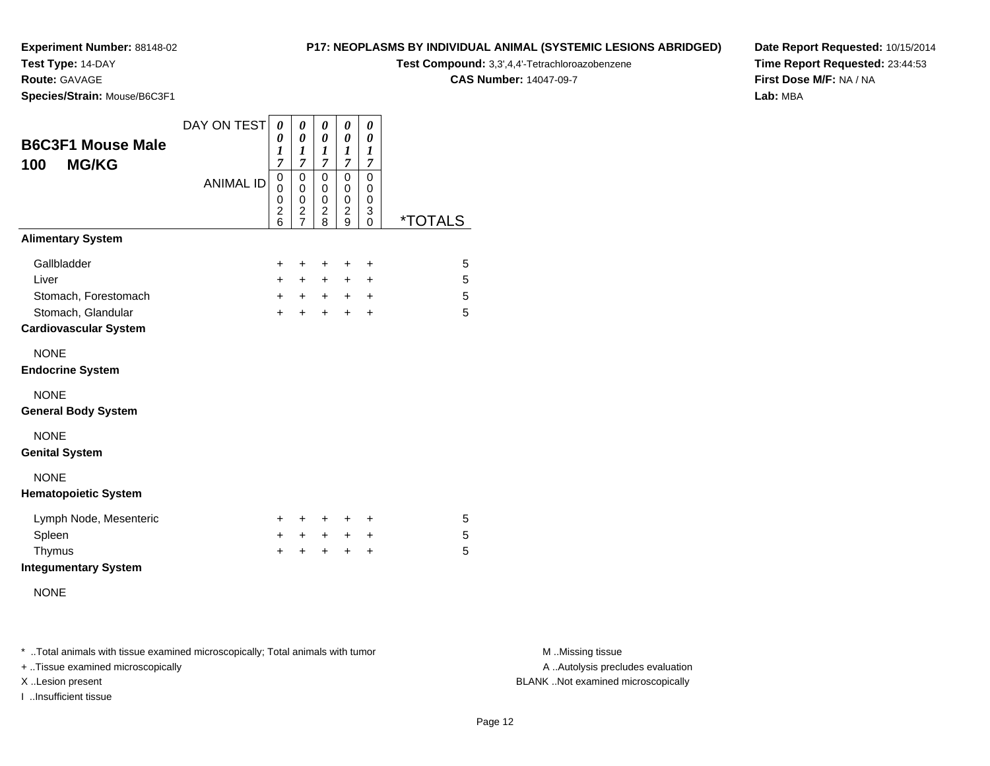**Test Type:** 14-DAY

**Route:** GAVAGE

**Species/Strain:** Mouse/B6C3F1

#### **P17: NEOPLASMS BY INDIVIDUAL ANIMAL (SYSTEMIC LESIONS ABRIDGED)**

**Test Compound:** 3,3',4,4'-Tetrachloroazobenzene

**CAS Number:** 14047-09-7

**Date Report Requested:** 10/15/2014**Time Report Requested:** 23:44:53**First Dose M/F:** NA / NA**Lab:** MBA

| <b>B6C3F1 Mouse Male</b><br><b>MG/KG</b><br>100    | DAY ON TEST      | 0<br>0<br>1<br>$\overline{7}$              | 0<br>$\boldsymbol{\theta}$<br>1<br>$\overline{7}$           | 0<br>0<br>1<br>$\overline{7}$                         | 0<br>0<br>1<br>$\overline{7}$                | $\boldsymbol{\theta}$<br>$\boldsymbol{\theta}$<br>$\boldsymbol{l}$<br>$\boldsymbol{7}$ |                       |
|----------------------------------------------------|------------------|--------------------------------------------|-------------------------------------------------------------|-------------------------------------------------------|----------------------------------------------|----------------------------------------------------------------------------------------|-----------------------|
|                                                    | <b>ANIMAL ID</b> | $\pmb{0}$<br>0<br>0<br>$\overline{c}$<br>6 | $\mathbf 0$<br>0<br>0<br>$\boldsymbol{2}$<br>$\overline{7}$ | $\mathbf 0$<br>0<br>0<br>$\overline{\mathbf{c}}$<br>8 | $\mathbf 0$<br>0<br>0<br>$\overline{c}$<br>9 | $\mathbf 0$<br>0<br>0<br>3<br>$\Omega$                                                 | <i><b>*TOTALS</b></i> |
| <b>Alimentary System</b>                           |                  |                                            |                                                             |                                                       |                                              |                                                                                        |                       |
| Gallbladder                                        |                  | +                                          | $\ddot{}$                                                   | $\ddot{}$                                             | $\ddot{}$                                    | $\ddot{}$                                                                              | 5                     |
| Liver                                              |                  | $+$                                        | $+$                                                         | $+$                                                   | $\ddot{}$                                    | $\ddot{}$                                                                              | 5                     |
| Stomach, Forestomach                               |                  | $+$                                        | $+$                                                         | $+$ $-$                                               | $+$                                          | $\ddot{}$                                                                              | 5                     |
| Stomach, Glandular<br><b>Cardiovascular System</b> |                  | $\ddot{}$                                  | $\ddot{}$                                                   | $\ddot{}$                                             | $\ddot{}$                                    | $\ddot{}$                                                                              | 5                     |
| <b>NONE</b><br><b>Endocrine System</b>             |                  |                                            |                                                             |                                                       |                                              |                                                                                        |                       |
| <b>NONE</b><br><b>General Body System</b>          |                  |                                            |                                                             |                                                       |                                              |                                                                                        |                       |
| <b>NONE</b><br><b>Genital System</b>               |                  |                                            |                                                             |                                                       |                                              |                                                                                        |                       |
| <b>NONE</b><br><b>Hematopoietic System</b>         |                  |                                            |                                                             |                                                       |                                              |                                                                                        |                       |
| Lymph Node, Mesenteric                             |                  | +                                          | $\ddot{}$                                                   | $\ddot{}$                                             | +                                            | $\ddot{}$                                                                              | 5                     |
| Spleen                                             |                  | +                                          | $\ddot{}$                                                   | $+$                                                   | $\ddot{}$                                    | $\ddot{}$                                                                              | 5                     |
| Thymus<br><b>Integumentary System</b>              |                  | +                                          | ÷                                                           | ÷                                                     | $\ddot{}$                                    | $\ddot{}$                                                                              | 5                     |
| <b>NONE</b>                                        |                  |                                            |                                                             |                                                       |                                              |                                                                                        |                       |

\* ..Total animals with tissue examined microscopically; Total animals with tumor **M** . Missing tissue M ..Missing tissue

+ ..Tissue examined microscopically

I ..Insufficient tissue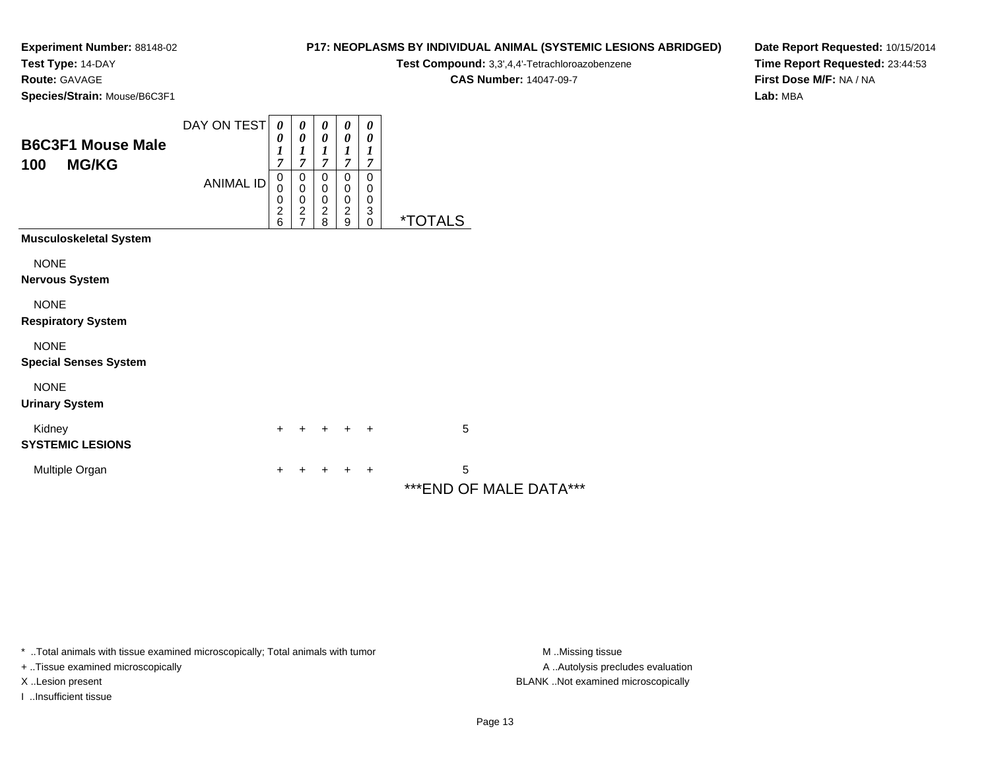**Test Type:** 14-DAY

**Route:** GAVAGE

**Species/Strain:** Mouse/B6C3F1

# **P17: NEOPLASMS BY INDIVIDUAL ANIMAL (SYSTEMIC LESIONS ABRIDGED)**

**Test Compound:** 3,3',4,4'-Tetrachloroazobenzene

**CAS Number:** 14047-09-7

**Date Report Requested:** 10/15/2014**Time Report Requested:** 23:44:53**First Dose M/F:** NA / NA**Lab:** MBA

| <b>B6C3F1 Mouse Male</b><br><b>MG/KG</b><br>100 | DAY ON TEST<br><b>ANIMAL ID</b> | $\boldsymbol{\theta}$<br>0<br>$\boldsymbol{l}$<br>$\overline{7}$<br>$\pmb{0}$<br>0<br>0<br>$\frac{2}{6}$ | 0<br>$\boldsymbol{\theta}$<br>$\boldsymbol{l}$<br>7<br>0<br>$\pmb{0}$<br>$\pmb{0}$<br>$\frac{2}{7}$ | 0<br>$\boldsymbol{\theta}$<br>1<br>7<br>0<br>0<br>$\pmb{0}$<br>$\frac{2}{8}$ | 0<br>0<br>1<br>7<br>$\mathbf 0$<br>0<br>$\pmb{0}$<br>$\frac{2}{9}$ | 0<br>0<br>1<br>$\overline{7}$<br>$\mathbf 0$<br>$\boldsymbol{0}$<br>0<br>$\begin{matrix} 3 \\ 0 \end{matrix}$ | <i><b>*TOTALS</b></i>        |  |
|-------------------------------------------------|---------------------------------|----------------------------------------------------------------------------------------------------------|-----------------------------------------------------------------------------------------------------|------------------------------------------------------------------------------|--------------------------------------------------------------------|---------------------------------------------------------------------------------------------------------------|------------------------------|--|
| <b>Musculoskeletal System</b>                   |                                 |                                                                                                          |                                                                                                     |                                                                              |                                                                    |                                                                                                               |                              |  |
| <b>NONE</b><br><b>Nervous System</b>            |                                 |                                                                                                          |                                                                                                     |                                                                              |                                                                    |                                                                                                               |                              |  |
| <b>NONE</b><br><b>Respiratory System</b>        |                                 |                                                                                                          |                                                                                                     |                                                                              |                                                                    |                                                                                                               |                              |  |
| <b>NONE</b><br><b>Special Senses System</b>     |                                 |                                                                                                          |                                                                                                     |                                                                              |                                                                    |                                                                                                               |                              |  |
| <b>NONE</b><br><b>Urinary System</b>            |                                 |                                                                                                          |                                                                                                     |                                                                              |                                                                    |                                                                                                               |                              |  |
| Kidney<br><b>SYSTEMIC LESIONS</b>               |                                 | $\ddot{}$                                                                                                |                                                                                                     | $\ddot{}$                                                                    | $+$                                                                | $\overline{+}$                                                                                                | 5                            |  |
| Multiple Organ                                  |                                 | +                                                                                                        |                                                                                                     |                                                                              |                                                                    | ÷                                                                                                             | 5<br>*** END OF MALE DATA*** |  |

\* ..Total animals with tissue examined microscopically; Total animals with tumor **M** . Missing tissue M ..Missing tissue

+ ..Tissue examined microscopically

I ..Insufficient tissue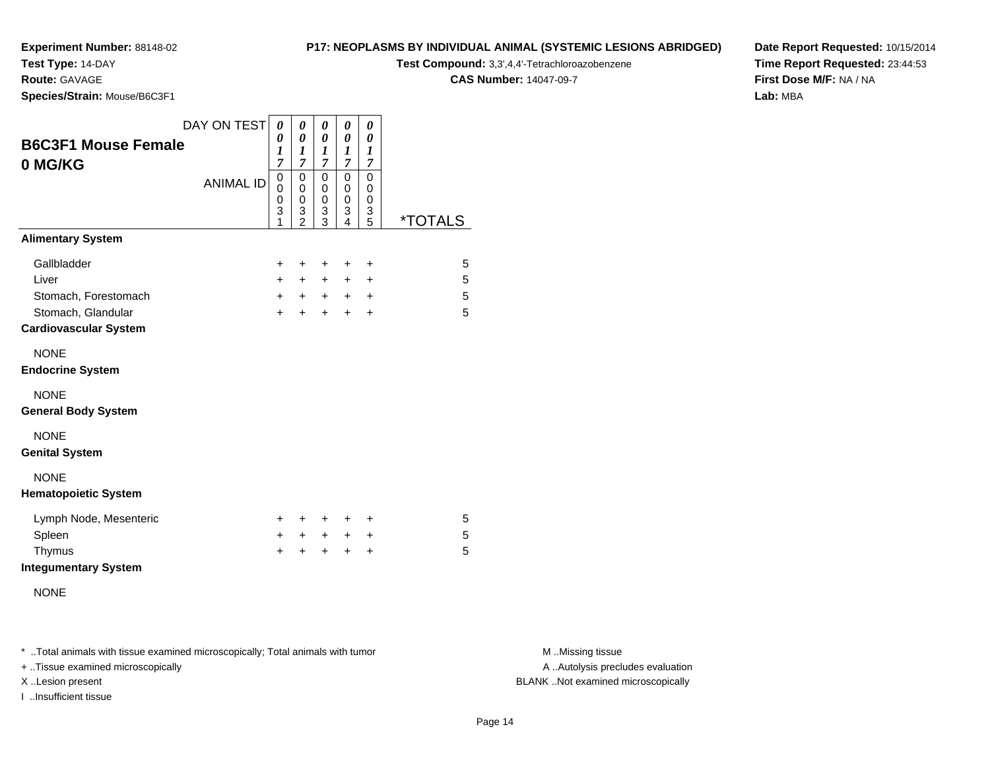# **Test Type:** 14-DAY

**Route:** GAVAGE

**Species/Strain:** Mouse/B6C3F1

# **P17: NEOPLASMS BY INDIVIDUAL ANIMAL (SYSTEMIC LESIONS ABRIDGED)**

**Test Compound:** 3,3',4,4'-Tetrachloroazobenzene

**CAS Number:** 14047-09-7

**Date Report Requested:** 10/15/2014**Time Report Requested:** 23:44:53**First Dose M/F:** NA / NA**Lab:** MBA

|                                                                    | DAY ON TEST      | 0                                          | 0                                                           | 0                                  | 0                                       | 0                                     |                       |
|--------------------------------------------------------------------|------------------|--------------------------------------------|-------------------------------------------------------------|------------------------------------|-----------------------------------------|---------------------------------------|-----------------------|
| <b>B6C3F1 Mouse Female</b><br>0 MG/KG                              |                  | 0<br>$\boldsymbol{l}$<br>7                 | $\boldsymbol{\theta}$<br>$\boldsymbol{l}$<br>$\overline{7}$ | 0<br>1<br>$\overline{7}$           | 0<br>$\boldsymbol{l}$<br>$\overline{7}$ | $\pmb{\theta}$<br>1<br>$\overline{7}$ |                       |
|                                                                    | <b>ANIMAL ID</b> | 0<br>0<br>0<br>3<br>1                      | $\mathbf 0$<br>0<br>0<br>$\frac{3}{2}$                      | 0<br>0<br>0<br>3<br>3              | $\mathbf 0$<br>0<br>0<br>3<br>4         | $\mathbf 0$<br>0<br>0<br>3<br>5       | <i><b>*TOTALS</b></i> |
| <b>Alimentary System</b>                                           |                  |                                            |                                                             |                                    |                                         |                                       |                       |
| Gallbladder<br>Liver<br>Stomach, Forestomach<br>Stomach, Glandular |                  | $\ddot{}$<br>$\ddot{}$<br>$+$<br>$\ddot{}$ | +<br>$+$<br>$+$<br>+                                        | +<br>$\ddot{}$<br>$+$<br>$\ddot{}$ | +<br>+<br>$\pm$<br>$\ddot{}$            | +<br>+<br>$\ddot{}$<br>$\ddot{}$      | 5<br>5<br>5<br>5      |
| <b>Cardiovascular System</b>                                       |                  |                                            |                                                             |                                    |                                         |                                       |                       |
| <b>NONE</b><br><b>Endocrine System</b>                             |                  |                                            |                                                             |                                    |                                         |                                       |                       |
| <b>NONE</b><br><b>General Body System</b>                          |                  |                                            |                                                             |                                    |                                         |                                       |                       |
| <b>NONE</b><br><b>Genital System</b>                               |                  |                                            |                                                             |                                    |                                         |                                       |                       |
| <b>NONE</b><br><b>Hematopoietic System</b>                         |                  |                                            |                                                             |                                    |                                         |                                       |                       |
| Lymph Node, Mesenteric                                             |                  | +                                          | +                                                           | +                                  | +                                       | +                                     | 5                     |
| Spleen<br>Thymus<br><b>Integumentary System</b>                    |                  | $\pm$<br>+                                 | $\pm$<br>+                                                  | $\ddot{}$<br>+                     | +<br>$\ddot{}$                          | +<br>+                                | 5<br>5                |
| <b>NONE</b>                                                        |                  |                                            |                                                             |                                    |                                         |                                       |                       |

\* ..Total animals with tissue examined microscopically; Total animals with tumor **M** . Missing tissue M ..Missing tissue

+ ..Tissue examined microscopically

I ..Insufficient tissue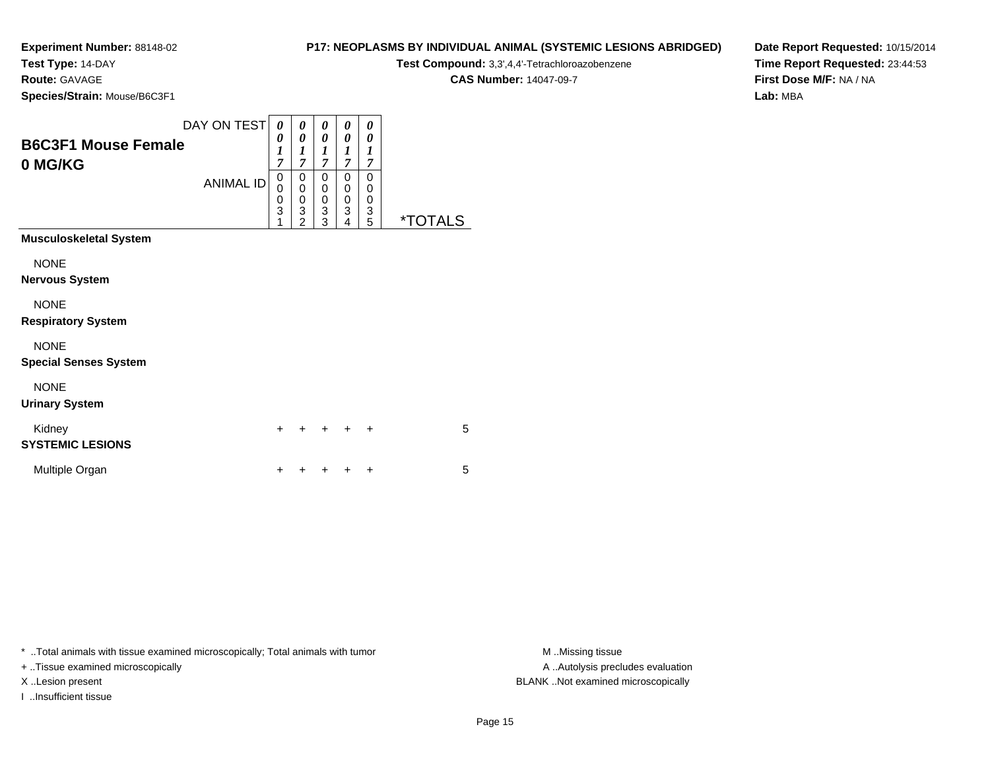**Test Type:** 14-DAY

**Route:** GAVAGE

**Species/Strain:** Mouse/B6C3F1

# **P17: NEOPLASMS BY INDIVIDUAL ANIMAL (SYSTEMIC LESIONS ABRIDGED)**

**Test Compound:** 3,3',4,4'-Tetrachloroazobenzene

**CAS Number:** 14047-09-7

**Date Report Requested:** 10/15/2014**Time Report Requested:** 23:44:53**First Dose M/F:** NA / NA**Lab:** MBA

| <b>B6C3F1 Mouse Female</b><br>0 MG/KG | DAY ON TEST<br><b>ANIMAL ID</b> | 0<br>0<br>$\boldsymbol{l}$<br>$\overline{7}$<br>0<br>0<br>0<br>3<br>1 | 0<br>0<br>$\boldsymbol{l}$<br>7<br>0<br>0<br>$\boldsymbol{0}$<br>3<br>$\mathfrak{p}$ | 0<br>$\boldsymbol{\theta}$<br>1<br>$\overline{7}$<br>0<br>$\mathbf 0$<br>$\pmb{0}$<br>$\overline{3}$<br>3 | 0<br>0<br>1<br>$\overline{\tau}$<br>0<br>0<br>0<br>3<br>4 | 0<br>0<br>1<br>$\overline{7}$<br>0<br>0<br>0<br>$\frac{3}{5}$ | *TOTALS |
|---------------------------------------|---------------------------------|-----------------------------------------------------------------------|--------------------------------------------------------------------------------------|-----------------------------------------------------------------------------------------------------------|-----------------------------------------------------------|---------------------------------------------------------------|---------|
| <b>Musculoskeletal System</b>         |                                 |                                                                       |                                                                                      |                                                                                                           |                                                           |                                                               |         |
| <b>NONE</b>                           |                                 |                                                                       |                                                                                      |                                                                                                           |                                                           |                                                               |         |
| <b>Nervous System</b>                 |                                 |                                                                       |                                                                                      |                                                                                                           |                                                           |                                                               |         |
| <b>NONE</b>                           |                                 |                                                                       |                                                                                      |                                                                                                           |                                                           |                                                               |         |
| <b>Respiratory System</b>             |                                 |                                                                       |                                                                                      |                                                                                                           |                                                           |                                                               |         |
| <b>NONE</b>                           |                                 |                                                                       |                                                                                      |                                                                                                           |                                                           |                                                               |         |
| <b>Special Senses System</b>          |                                 |                                                                       |                                                                                      |                                                                                                           |                                                           |                                                               |         |
| <b>NONE</b>                           |                                 |                                                                       |                                                                                      |                                                                                                           |                                                           |                                                               |         |
| <b>Urinary System</b>                 |                                 |                                                                       |                                                                                      |                                                                                                           |                                                           |                                                               |         |
| Kidney<br><b>SYSTEMIC LESIONS</b>     |                                 | $\ddot{}$                                                             | +                                                                                    | +                                                                                                         | +                                                         | ÷                                                             | 5       |
| Multiple Organ                        |                                 | +                                                                     |                                                                                      |                                                                                                           |                                                           | +                                                             | 5       |

\* ..Total animals with tissue examined microscopically; Total animals with tumor **M** . Missing tissue M ..Missing tissue

+ ..Tissue examined microscopically

I ..Insufficient tissue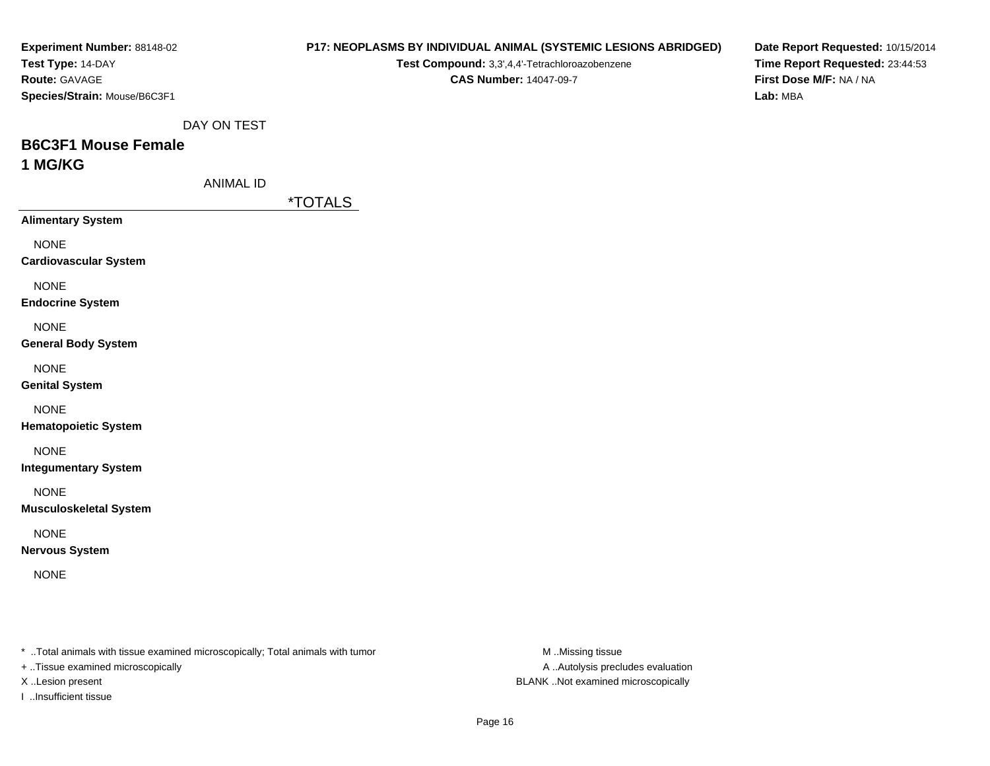| <b>Experiment Number: 88148-02</b><br>Test Type: 14-DAY<br>Route: GAVAGE<br>Species/Strain: Mouse/B6C3F1 |                                                                                | Test Compound: 3,3',4,4'-Tetrachloroazobenzene<br><b>CAS Number: 14047-09-7</b> | <b>P17: NEOPLASMS BY INDIVIDUAL ANIMAL (SYSTEMIC LESIONS ABRIDGED)</b> | Date Report Requested: 10/15/2014<br>Time Report Requested: 23:44:53<br>First Dose M/F: NA / NA<br>Lab: MBA |
|----------------------------------------------------------------------------------------------------------|--------------------------------------------------------------------------------|---------------------------------------------------------------------------------|------------------------------------------------------------------------|-------------------------------------------------------------------------------------------------------------|
|                                                                                                          | DAY ON TEST                                                                    |                                                                                 |                                                                        |                                                                                                             |
| <b>B6C3F1 Mouse Female</b><br>1 MG/KG                                                                    |                                                                                |                                                                                 |                                                                        |                                                                                                             |
|                                                                                                          | <b>ANIMAL ID</b><br><i><b>*TOTALS</b></i>                                      |                                                                                 |                                                                        |                                                                                                             |
| <b>Alimentary System</b>                                                                                 |                                                                                |                                                                                 |                                                                        |                                                                                                             |
| <b>NONE</b><br><b>Cardiovascular System</b>                                                              |                                                                                |                                                                                 |                                                                        |                                                                                                             |
| <b>NONE</b><br><b>Endocrine System</b>                                                                   |                                                                                |                                                                                 |                                                                        |                                                                                                             |
| <b>NONE</b><br><b>General Body System</b>                                                                |                                                                                |                                                                                 |                                                                        |                                                                                                             |
| <b>NONE</b><br><b>Genital System</b>                                                                     |                                                                                |                                                                                 |                                                                        |                                                                                                             |
| <b>NONE</b><br><b>Hematopoietic System</b>                                                               |                                                                                |                                                                                 |                                                                        |                                                                                                             |
| <b>NONE</b><br><b>Integumentary System</b>                                                               |                                                                                |                                                                                 |                                                                        |                                                                                                             |
| <b>NONE</b><br><b>Musculoskeletal System</b>                                                             |                                                                                |                                                                                 |                                                                        |                                                                                                             |
| <b>NONE</b><br><b>Nervous System</b>                                                                     |                                                                                |                                                                                 |                                                                        |                                                                                                             |
| <b>NONE</b>                                                                                              |                                                                                |                                                                                 |                                                                        |                                                                                                             |
|                                                                                                          | * Total animals with tissue examined microscopically; Total animals with tumor |                                                                                 | M Missing tissue                                                       |                                                                                                             |
| + Tissue examined microscopically                                                                        |                                                                                |                                                                                 | A  Autolysis precludes evaluation                                      |                                                                                                             |

X ..Lesion present BLANK ..Not examined microscopically

I ..Insufficient tissue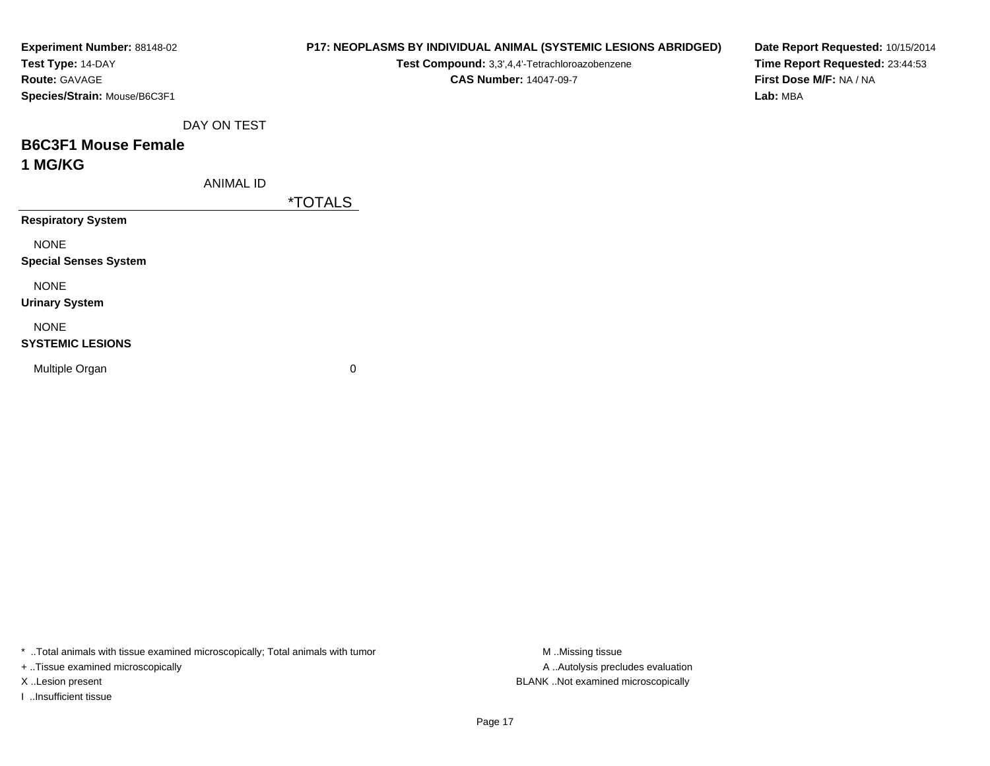| Experiment Number: 88148-02  |                  |                       | P17: NEOPLASMS BY INDIVIDUAL ANIMAL (SYSTEMIC LESIONS ABRIDGED) |          | Date Report Requested: 10/15/2014 |  |
|------------------------------|------------------|-----------------------|-----------------------------------------------------------------|----------|-----------------------------------|--|
| Test Type: 14-DAY            |                  |                       | Test Compound: 3,3',4,4'-Tetrachloroazobenzene                  |          | Time Report Requested: 23:44:53   |  |
| Route: GAVAGE                |                  |                       | <b>CAS Number: 14047-09-7</b>                                   |          | First Dose M/F: NA / NA           |  |
| Species/Strain: Mouse/B6C3F1 |                  |                       |                                                                 | Lab: MBA |                                   |  |
|                              | DAY ON TEST      |                       |                                                                 |          |                                   |  |
| <b>B6C3F1 Mouse Female</b>   |                  |                       |                                                                 |          |                                   |  |
| 1 MG/KG                      |                  |                       |                                                                 |          |                                   |  |
|                              | <b>ANIMAL ID</b> |                       |                                                                 |          |                                   |  |
|                              |                  | <i><b>*TOTALS</b></i> |                                                                 |          |                                   |  |
| <b>Respiratory System</b>    |                  |                       |                                                                 |          |                                   |  |
| <b>NONE</b>                  |                  |                       |                                                                 |          |                                   |  |
| <b>Special Senses System</b> |                  |                       |                                                                 |          |                                   |  |
| <b>NONE</b>                  |                  |                       |                                                                 |          |                                   |  |
| <b>Urinary System</b>        |                  |                       |                                                                 |          |                                   |  |
| <b>NONE</b>                  |                  |                       |                                                                 |          |                                   |  |
| <b>SYSTEMIC LESIONS</b>      |                  |                       |                                                                 |          |                                   |  |
| Multiple Organ               |                  | 0                     |                                                                 |          |                                   |  |
|                              |                  |                       |                                                                 |          |                                   |  |
|                              |                  |                       |                                                                 |          |                                   |  |

\* ..Total animals with tissue examined microscopically; Total animals with tumor M..Missing tissue M ..Missing tissue

+ ..Tissue examined microscopically

I ..Insufficient tissue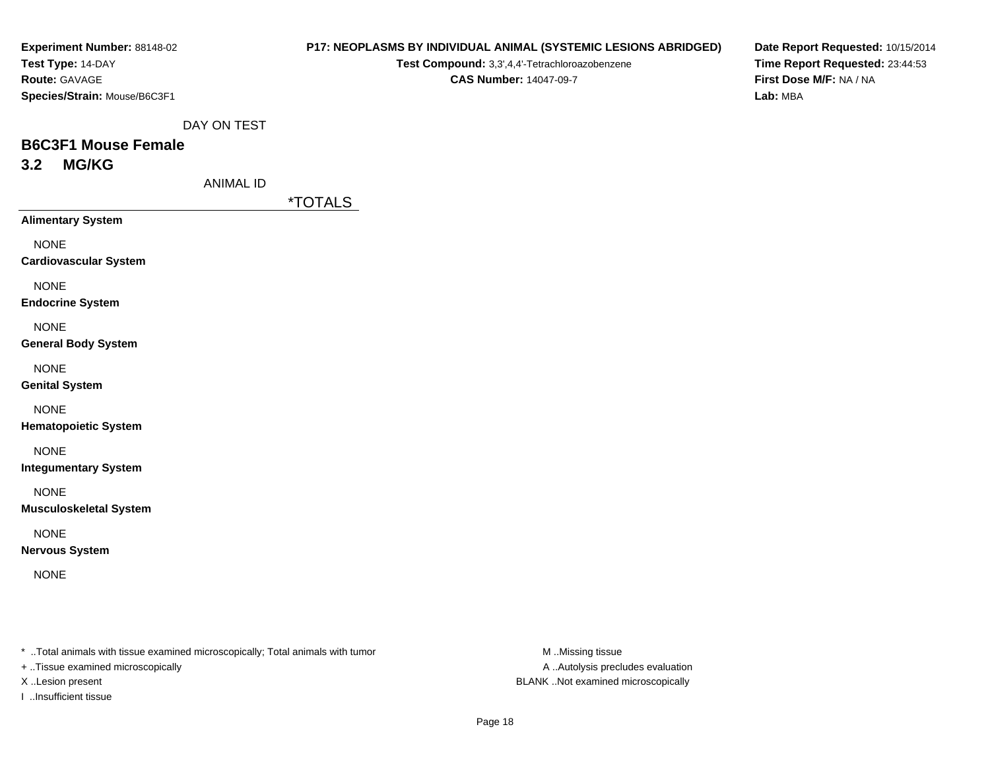| Experiment Number: 88148-02  |
|------------------------------|
| <b>Test Type: 14-DAY</b>     |
| <b>Route: GAVAGE</b>         |
| Species/Strain: Mouse/B6C3F1 |

# **P17: NEOPLASMS BY INDIVIDUAL ANIMAL (SYSTEMIC LESIONS ABRIDGED)**

**Test Compound:** 3,3',4,4'-Tetrachloroazobenzene**CAS Number:** 14047-09-7

**Date Report Requested:** 10/15/2014**Time Report Requested:** 23:44:53**First Dose M/F:** NA / NA**Lab:** MBA

DAY ON TEST

# **B6C3F1 Mouse Female3.2 MG/KG**

ANIMAL ID

\*TOTALS

**Alimentary System**

NONE

**Cardiovascular System**

NONE

**Endocrine System**

NONE

**General Body System**

NONE

**Genital System**

NONE

**Hematopoietic System**

NONE

**Integumentary System**

NONE

**Musculoskeletal System**

NONE

**Nervous System**

NONE

\* ..Total animals with tissue examined microscopically; Total animals with tumor **M** ..Missing tissue M ..Missing tissue

+ ..Tissue examined microscopically

I ..Insufficient tissue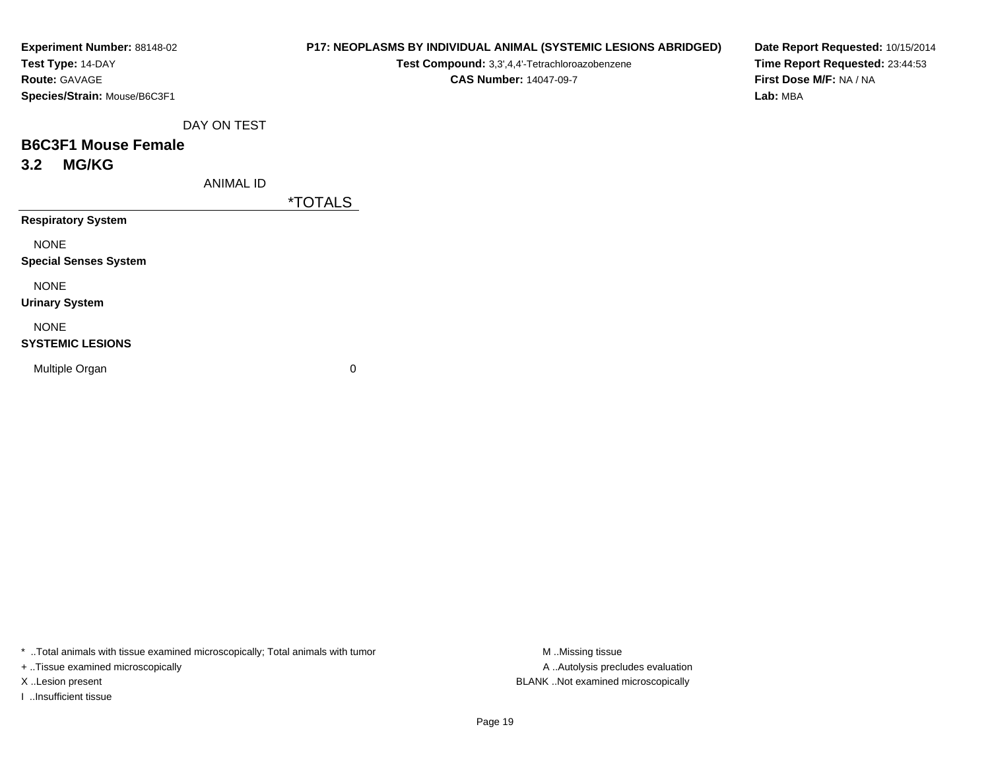| Experiment Number: 88148-02  |
|------------------------------|
| Test Type: 14-DAY            |
| <b>Route:</b> GAVAGE         |
| Species/Strain: Mouse/B6C3F1 |

#### **P17: NEOPLASMS BY INDIVIDUAL ANIMAL (SYSTEMIC LESIONS ABRIDGED)**

**Test Compound:** 3,3',4,4'-Tetrachloroazobenzene

**CAS Number:** 14047-09-7

**Date Report Requested:** 10/15/2014**Time Report Requested:** 23:44:53**First Dose M/F:** NA / NA**Lab:** MBA

DAY ON TEST

# **B6C3F1 Mouse Female3.2 MG/KG**

ANIMAL ID

\*TOTALS

**Respiratory System**

NONE

**Special Senses System**

NONE

**Urinary System**

NONE

#### **SYSTEMIC LESIONS**

Multiple Organ

 $\mathbf n$  0

\* ..Total animals with tissue examined microscopically; Total animals with tumor **M** ...Missing tissue M ...Missing tissue

+ ..Tissue examined microscopically

I ..Insufficient tissue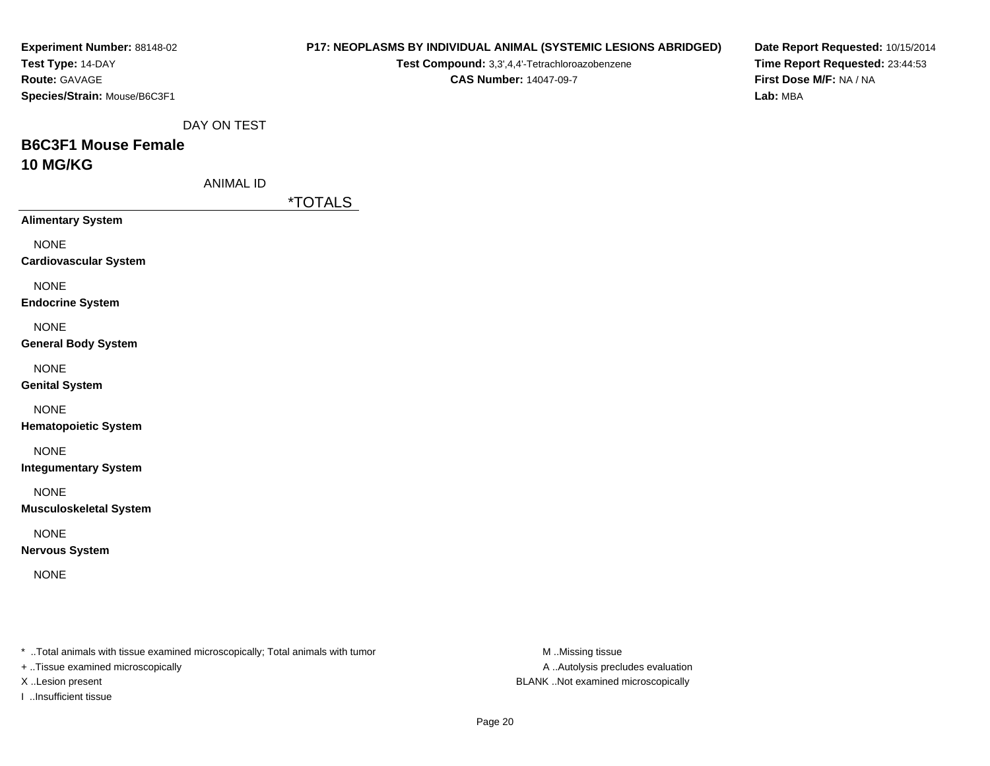| Experiment Number: 88148-02                                                                                         |                       |                                                | P17: NEOPLASMS BY INDIVIDUAL ANIMAL (SYSTEMIC LESIONS ABRIDGED) | Date Report Requested: 10/15/2014 |
|---------------------------------------------------------------------------------------------------------------------|-----------------------|------------------------------------------------|-----------------------------------------------------------------|-----------------------------------|
| Test Type: 14-DAY                                                                                                   |                       | Test Compound: 3,3',4,4'-Tetrachloroazobenzene |                                                                 | Time Report Requested: 23:44:53   |
| Route: GAVAGE                                                                                                       |                       | <b>CAS Number: 14047-09-7</b>                  |                                                                 | First Dose M/F: NA / NA           |
| Species/Strain: Mouse/B6C3F1                                                                                        |                       |                                                |                                                                 | Lab: MBA                          |
|                                                                                                                     | DAY ON TEST           |                                                |                                                                 |                                   |
| <b>B6C3F1 Mouse Female</b>                                                                                          |                       |                                                |                                                                 |                                   |
| <b>10 MG/KG</b>                                                                                                     |                       |                                                |                                                                 |                                   |
|                                                                                                                     | <b>ANIMAL ID</b>      |                                                |                                                                 |                                   |
|                                                                                                                     | <i><b>*TOTALS</b></i> |                                                |                                                                 |                                   |
| <b>Alimentary System</b>                                                                                            |                       |                                                |                                                                 |                                   |
| <b>NONE</b>                                                                                                         |                       |                                                |                                                                 |                                   |
| <b>Cardiovascular System</b>                                                                                        |                       |                                                |                                                                 |                                   |
| <b>NONE</b>                                                                                                         |                       |                                                |                                                                 |                                   |
| <b>Endocrine System</b>                                                                                             |                       |                                                |                                                                 |                                   |
|                                                                                                                     |                       |                                                |                                                                 |                                   |
| <b>NONE</b>                                                                                                         |                       |                                                |                                                                 |                                   |
| <b>General Body System</b>                                                                                          |                       |                                                |                                                                 |                                   |
| <b>NONE</b>                                                                                                         |                       |                                                |                                                                 |                                   |
| <b>Genital System</b>                                                                                               |                       |                                                |                                                                 |                                   |
| <b>NONE</b>                                                                                                         |                       |                                                |                                                                 |                                   |
| <b>Hematopoietic System</b>                                                                                         |                       |                                                |                                                                 |                                   |
| <b>NONE</b>                                                                                                         |                       |                                                |                                                                 |                                   |
| <b>Integumentary System</b>                                                                                         |                       |                                                |                                                                 |                                   |
| <b>NONE</b>                                                                                                         |                       |                                                |                                                                 |                                   |
| <b>Musculoskeletal System</b>                                                                                       |                       |                                                |                                                                 |                                   |
|                                                                                                                     |                       |                                                |                                                                 |                                   |
| <b>NONE</b><br><b>Nervous System</b>                                                                                |                       |                                                |                                                                 |                                   |
|                                                                                                                     |                       |                                                |                                                                 |                                   |
| <b>NONE</b>                                                                                                         |                       |                                                |                                                                 |                                   |
|                                                                                                                     |                       |                                                |                                                                 |                                   |
|                                                                                                                     |                       |                                                |                                                                 |                                   |
|                                                                                                                     |                       |                                                |                                                                 |                                   |
| * Total animals with tissue examined microscopically; Total animals with tumor<br>+ Tissue examined microscopically |                       |                                                | M Missing tissue<br>A  Autolysis precludes evaluation           |                                   |
| X Lesion present                                                                                                    |                       |                                                | BLANK Not examined microscopically                              |                                   |

I ..Insufficient tissue

Page 20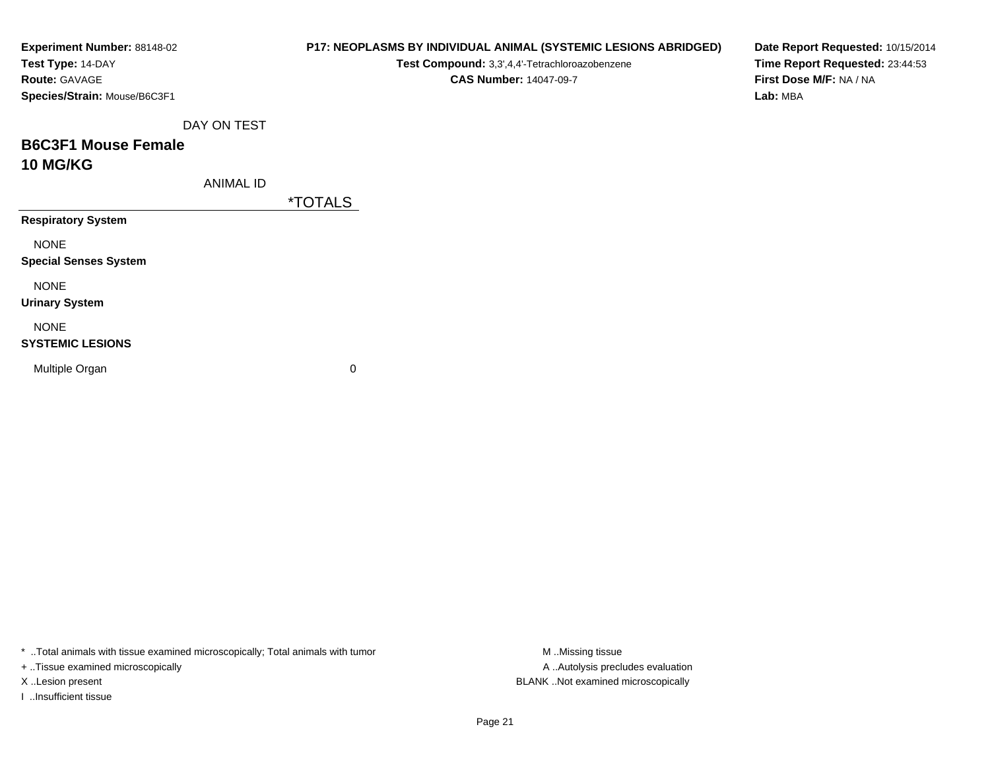| Experiment Number: 88148-02<br>Test Type: 14-DAY |                  |                       | Test Compound: 3,3',4,4'-Tetrachloroazobenzene | P17: NEOPLASMS BY INDIVIDUAL ANIMAL (SYSTEMIC LESIONS ABRIDGED) | Date Report Requested: 10/15/2014<br>Time Report Requested: 23:44:53 |
|--------------------------------------------------|------------------|-----------------------|------------------------------------------------|-----------------------------------------------------------------|----------------------------------------------------------------------|
| Route: GAVAGE                                    |                  |                       | <b>CAS Number: 14047-09-7</b>                  |                                                                 | First Dose M/F: NA / NA                                              |
| Species/Strain: Mouse/B6C3F1                     |                  |                       |                                                |                                                                 | Lab: MBA                                                             |
|                                                  | DAY ON TEST      |                       |                                                |                                                                 |                                                                      |
| <b>B6C3F1 Mouse Female</b>                       |                  |                       |                                                |                                                                 |                                                                      |
| <b>10 MG/KG</b>                                  |                  |                       |                                                |                                                                 |                                                                      |
|                                                  | <b>ANIMAL ID</b> |                       |                                                |                                                                 |                                                                      |
|                                                  |                  | <i><b>*TOTALS</b></i> |                                                |                                                                 |                                                                      |
| <b>Respiratory System</b>                        |                  |                       |                                                |                                                                 |                                                                      |
| <b>NONE</b>                                      |                  |                       |                                                |                                                                 |                                                                      |
| <b>Special Senses System</b>                     |                  |                       |                                                |                                                                 |                                                                      |
| <b>NONE</b>                                      |                  |                       |                                                |                                                                 |                                                                      |
| <b>Urinary System</b>                            |                  |                       |                                                |                                                                 |                                                                      |
| <b>NONE</b>                                      |                  |                       |                                                |                                                                 |                                                                      |
| <b>SYSTEMIC LESIONS</b>                          |                  |                       |                                                |                                                                 |                                                                      |
| Multiple Organ                                   |                  | 0                     |                                                |                                                                 |                                                                      |
|                                                  |                  |                       |                                                |                                                                 |                                                                      |
|                                                  |                  |                       |                                                |                                                                 |                                                                      |

\* ..Total animals with tissue examined microscopically; Total animals with tumor M..Missing tissue M ..Missing tissue

+ ..Tissue examined microscopically

I ..Insufficient tissue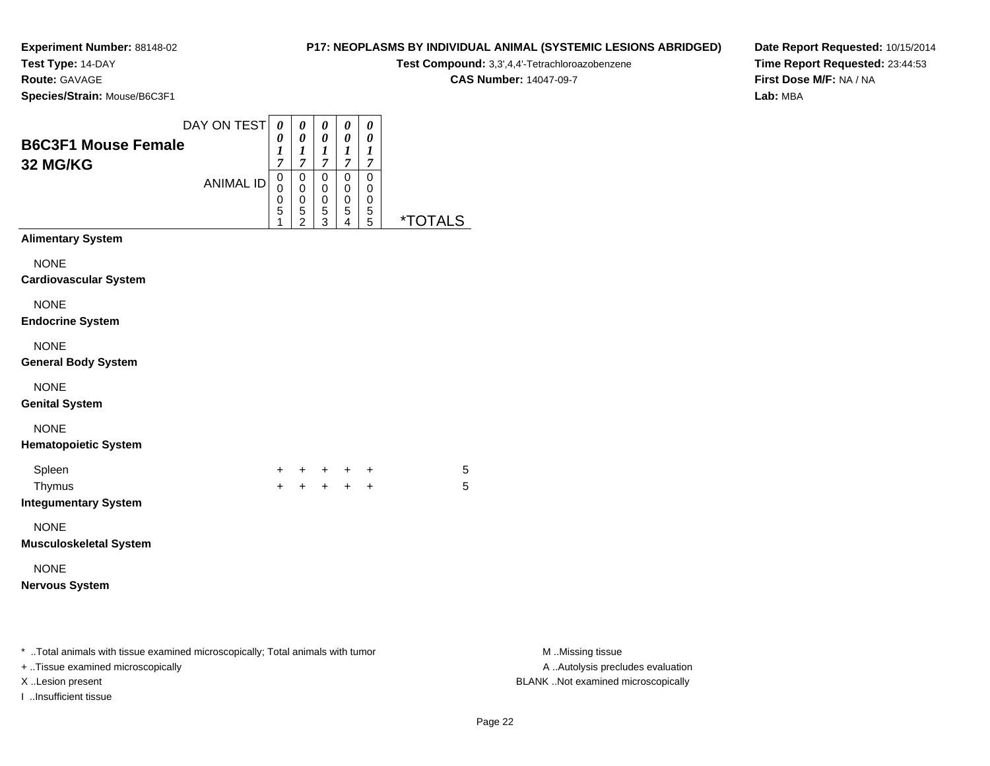**Test Type:** 14-DAY

**Route:** GAVAGE

**Species/Strain:** Mouse/B6C3F1

# **P17: NEOPLASMS BY INDIVIDUAL ANIMAL (SYSTEMIC LESIONS ABRIDGED)**

**Test Compound:** 3,3',4,4'-Tetrachloroazobenzene

**CAS Number:** 14047-09-7

**Date Report Requested:** 10/15/2014**Time Report Requested:** 23:44:53**First Dose M/F:** NA / NA**Lab:** MBA

| <b>B6C3F1 Mouse Female</b><br>32 MG/KG                                                                                                  | DAY ON TEST      | $\boldsymbol{\theta}$<br>0<br>1<br>$\overline{7}$ | $\boldsymbol{\theta}$<br>0<br>$\boldsymbol{l}$<br>$\overline{7}$ | 0<br>0<br>$\boldsymbol{l}$<br>$\overline{7}$   | $\boldsymbol{\theta}$<br>$\boldsymbol{\theta}$<br>$\boldsymbol{l}$<br>$\overline{7}$ | $\boldsymbol{\theta}$<br>0<br>$\boldsymbol{l}$<br>$\overline{7}$ |                       |                                                                                             |
|-----------------------------------------------------------------------------------------------------------------------------------------|------------------|---------------------------------------------------|------------------------------------------------------------------|------------------------------------------------|--------------------------------------------------------------------------------------|------------------------------------------------------------------|-----------------------|---------------------------------------------------------------------------------------------|
|                                                                                                                                         | <b>ANIMAL ID</b> | $\pmb{0}$<br>$\mathbf 0$<br>0<br>5<br>1           | $\mathbf 0$<br>0<br>0<br>5<br>$\overline{c}$                     | $\pmb{0}$<br>$\mathbf 0$<br>0<br>$\frac{5}{3}$ | $\pmb{0}$<br>$\mathbf 0$<br>0<br>$\frac{5}{4}$                                       | $\pmb{0}$<br>$\mathbf 0$<br>0<br>$\frac{5}{5}$                   | <i><b>*TOTALS</b></i> |                                                                                             |
| <b>Alimentary System</b>                                                                                                                |                  |                                                   |                                                                  |                                                |                                                                                      |                                                                  |                       |                                                                                             |
| <b>NONE</b><br><b>Cardiovascular System</b>                                                                                             |                  |                                                   |                                                                  |                                                |                                                                                      |                                                                  |                       |                                                                                             |
| <b>NONE</b><br><b>Endocrine System</b>                                                                                                  |                  |                                                   |                                                                  |                                                |                                                                                      |                                                                  |                       |                                                                                             |
| <b>NONE</b><br><b>General Body System</b>                                                                                               |                  |                                                   |                                                                  |                                                |                                                                                      |                                                                  |                       |                                                                                             |
| <b>NONE</b><br><b>Genital System</b>                                                                                                    |                  |                                                   |                                                                  |                                                |                                                                                      |                                                                  |                       |                                                                                             |
| <b>NONE</b><br><b>Hematopoietic System</b>                                                                                              |                  |                                                   |                                                                  |                                                |                                                                                      |                                                                  |                       |                                                                                             |
| Spleen<br>Thymus<br><b>Integumentary System</b>                                                                                         |                  | +<br>$\ddot{+}$                                   |                                                                  | + + + +<br>+ + + +                             |                                                                                      |                                                                  | 5<br>5                |                                                                                             |
| <b>NONE</b><br><b>Musculoskeletal System</b>                                                                                            |                  |                                                   |                                                                  |                                                |                                                                                      |                                                                  |                       |                                                                                             |
| <b>NONE</b><br><b>Nervous System</b>                                                                                                    |                  |                                                   |                                                                  |                                                |                                                                                      |                                                                  |                       |                                                                                             |
| * Total animals with tissue examined microscopically; Total animals with tumor<br>+ Tissue examined microscopically<br>X Lesion present |                  |                                                   |                                                                  |                                                |                                                                                      |                                                                  |                       | M Missing tissue<br>A  Autolysis precludes evaluation<br>BLANK Not examined microscopically |

I ..Insufficient tissue

M ..Missing tissue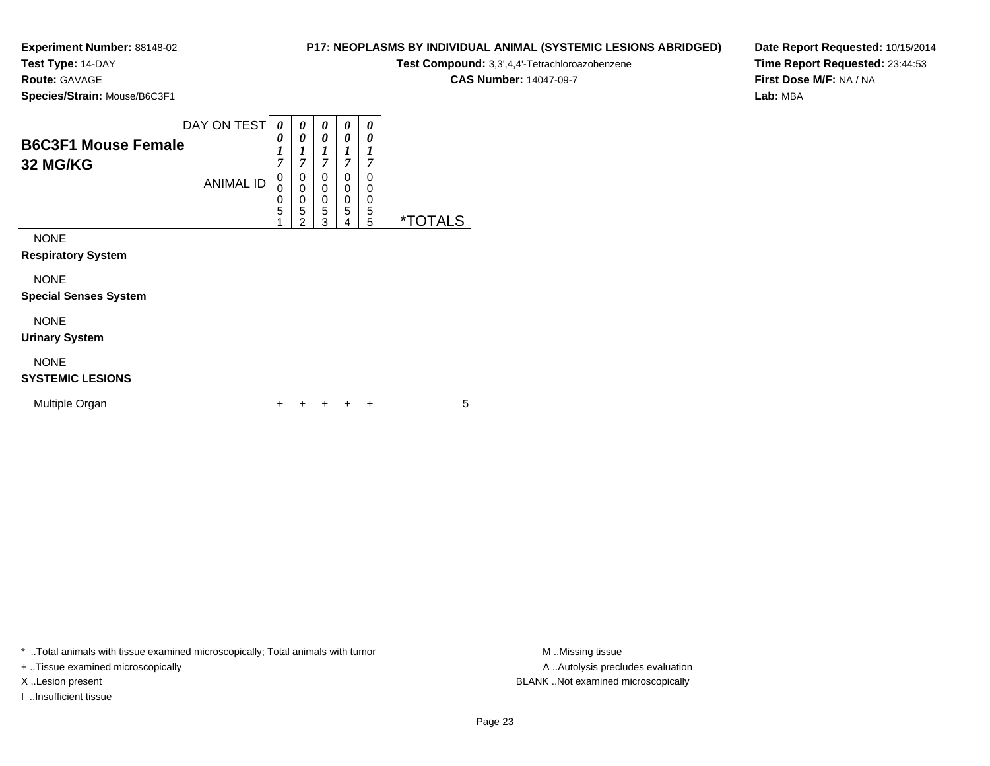**Test Type:** 14-DAY

**Route:** GAVAGE

**Species/Strain:** Mouse/B6C3F1

**Test Compound:** 3,3',4,4'-Tetrachloroazobenzene

**CAS Number:** 14047-09-7

**Date Report Requested:** 10/15/2014**Time Report Requested:** 23:44:53**First Dose M/F:** NA / NA**Lab:** MBA

| <b>B6C3F1 Mouse Female</b><br>32 MG/KG      | DAY ON TEST      | 0<br>0<br>1<br>$\overline{7}$                             | 0<br>0<br>7                                                    | 0<br>0<br>1<br>7      | $\boldsymbol{\theta}$<br>0<br>7 | 0<br>0<br>1<br>7                |                       |
|---------------------------------------------|------------------|-----------------------------------------------------------|----------------------------------------------------------------|-----------------------|---------------------------------|---------------------------------|-----------------------|
|                                             | <b>ANIMAL ID</b> | 0<br>$\mathbf 0$<br>$\begin{matrix}0\\5\end{matrix}$<br>1 | 0<br>0<br>$\boldsymbol{0}$<br>$\overline{5}$<br>$\overline{2}$ | 0<br>0<br>0<br>5<br>3 | 0<br>0<br>0<br>5<br>4           | $\mathbf 0$<br>0<br>0<br>5<br>5 | <i><b>*TOTALS</b></i> |
| <b>NONE</b><br><b>Respiratory System</b>    |                  |                                                           |                                                                |                       |                                 |                                 |                       |
| <b>NONE</b><br><b>Special Senses System</b> |                  |                                                           |                                                                |                       |                                 |                                 |                       |
| <b>NONE</b><br><b>Urinary System</b>        |                  |                                                           |                                                                |                       |                                 |                                 |                       |
| <b>NONE</b>                                 |                  |                                                           |                                                                |                       |                                 |                                 |                       |

## **SYSTEMIC LESIONS**

| Multiple Organ |  |  |  | + + + + + |  |  |  |
|----------------|--|--|--|-----------|--|--|--|
|----------------|--|--|--|-----------|--|--|--|

\* ..Total animals with tissue examined microscopically; Total animals with tumor **M** . Missing tissue M ..Missing tissue

+ ..Tissue examined microscopically

I ..Insufficient tissue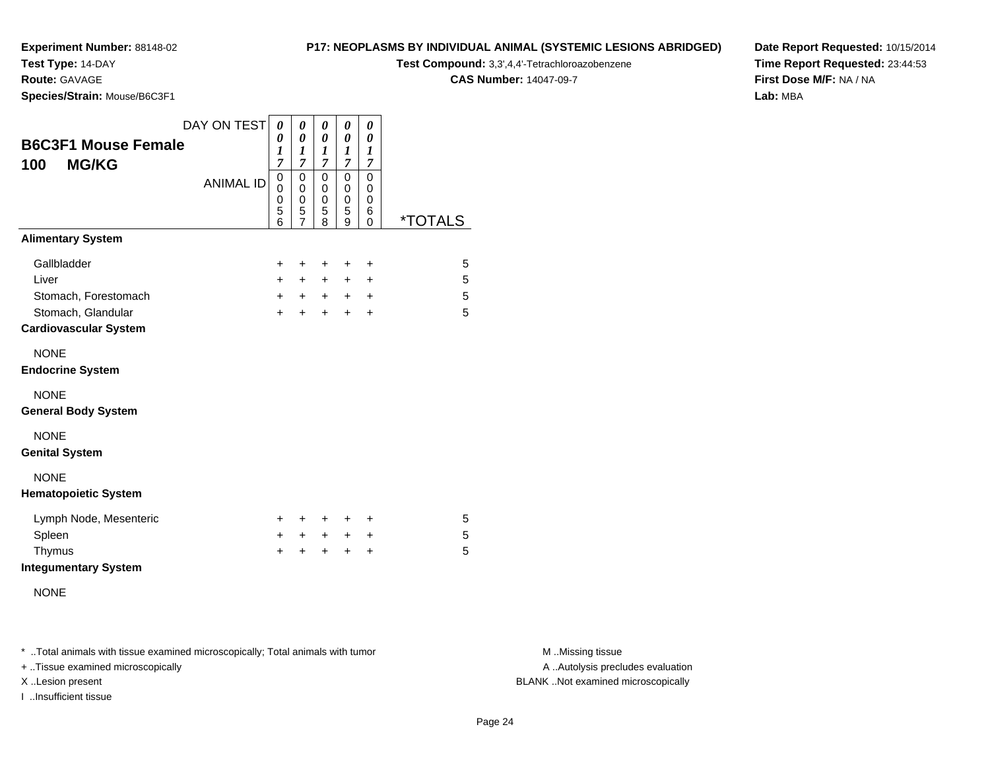**Test Type:** 14-DAY

**Route:** GAVAGE

**Species/Strain:** Mouse/B6C3F1

## **P17: NEOPLASMS BY INDIVIDUAL ANIMAL (SYSTEMIC LESIONS ABRIDGED)**

**Test Compound:** 3,3',4,4'-Tetrachloroazobenzene

**CAS Number:** 14047-09-7

**Date Report Requested:** 10/15/2014**Time Report Requested:** 23:44:53**First Dose M/F:** NA / NA**Lab:** MBA

| <b>B6C3F1 Mouse Female</b><br><b>MG/KG</b><br>100  | DAY ON TEST      | 0<br>0<br>1<br>$\overline{7}$ | 0<br>0<br>1<br>$\overline{7}$                          | 0<br>0<br>1<br>7                | 0<br>$\pmb{\theta}$<br>$\boldsymbol{l}$<br>$\overline{7}$ | 0<br>0<br>1<br>$\overline{7}$              |                       |
|----------------------------------------------------|------------------|-------------------------------|--------------------------------------------------------|---------------------------------|-----------------------------------------------------------|--------------------------------------------|-----------------------|
|                                                    | <b>ANIMAL ID</b> | 0<br>0<br>0<br>5<br>6         | $\mathbf 0$<br>0<br>$\mathbf 0$<br>5<br>$\overline{7}$ | $\mathbf 0$<br>0<br>0<br>5<br>8 | 0<br>0<br>0<br>5<br>9                                     | $\mathbf 0$<br>0<br>0<br>6<br>$\mathbf{0}$ | <i><b>*TOTALS</b></i> |
| <b>Alimentary System</b>                           |                  |                               |                                                        |                                 |                                                           |                                            |                       |
| Gallbladder                                        |                  | $\ddot{}$                     | +                                                      | +                               | +                                                         | +                                          | 5                     |
| Liver                                              |                  | $+$                           | $+$                                                    | $\ddot{}$                       | $\ddot{}$                                                 | $\ddot{}$                                  | 5                     |
| Stomach, Forestomach                               |                  | $+$                           | $+$                                                    | $+$                             | $+$                                                       | $\ddot{}$                                  | 5                     |
| Stomach, Glandular<br><b>Cardiovascular System</b> |                  | $\ddot{}$                     | $\ddot{}$                                              | $+$                             | $\ddot{}$                                                 | $\ddot{}$                                  | 5                     |
| <b>NONE</b><br><b>Endocrine System</b>             |                  |                               |                                                        |                                 |                                                           |                                            |                       |
| <b>NONE</b><br><b>General Body System</b>          |                  |                               |                                                        |                                 |                                                           |                                            |                       |
| <b>NONE</b><br><b>Genital System</b>               |                  |                               |                                                        |                                 |                                                           |                                            |                       |
| <b>NONE</b><br><b>Hematopoietic System</b>         |                  |                               |                                                        |                                 |                                                           |                                            |                       |
| Lymph Node, Mesenteric                             |                  | $\pm$                         | +                                                      | $\ddot{}$                       | +                                                         | ÷                                          | 5                     |
| Spleen                                             |                  | $\ddot{}$                     | $+$                                                    | $\ddot{}$                       | $\ddot{}$                                                 | +                                          | 5                     |
| Thymus<br><b>Integumentary System</b>              |                  | $\ddot{}$                     | +                                                      | ÷                               | $\ddot{}$                                                 | $\ddot{}$                                  | 5                     |
| <b>NONE</b>                                        |                  |                               |                                                        |                                 |                                                           |                                            |                       |

\* ..Total animals with tissue examined microscopically; Total animals with tumor **M** . Missing tissue M ..Missing tissue

+ ..Tissue examined microscopically

I ..Insufficient tissue